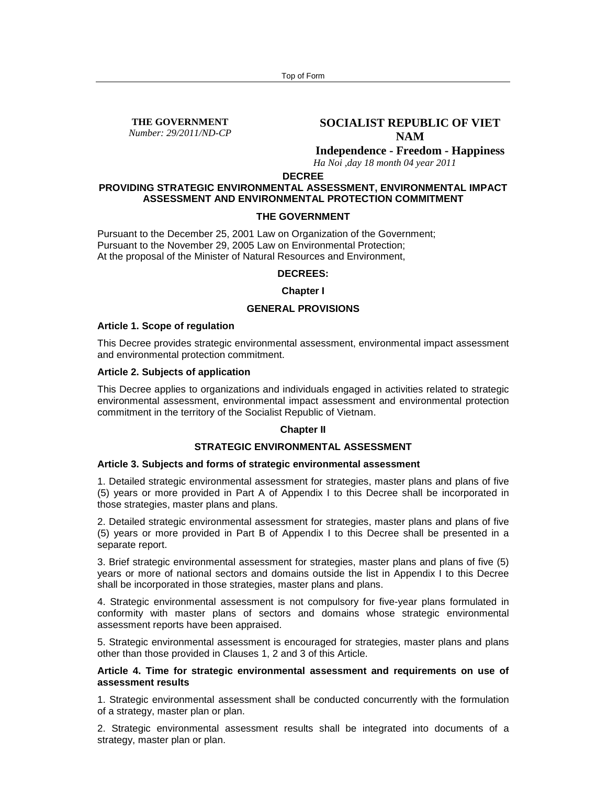**THE GOVERNMENT** *Number: 29/2011/ND-CP* 

# **SOCIALIST REPUBLIC OF VIET NAM**

**Independence - Freedom - Happiness**

*Ha Noi ,day 18 month 04 year 2011* 

**DECREE** 

# **PROVIDING STRATEGIC ENVIRONMENTAL ASSESSMENT, ENVIRONMENTAL IMPACT ASSESSMENT AND ENVIRONMENTAL PROTECTION COMMITMENT**

### **THE GOVERNMENT**

Pursuant to the December 25, 2001 Law on Organization of the Government; Pursuant to the November 29, 2005 Law on Environmental Protection; At the proposal of the Minister of Natural Resources and Environment,

# **DECREES:**

#### **Chapter I**

### **GENERAL PROVISIONS**

#### **Article 1. Scope of regulation**

This Decree provides strategic environmental assessment, environmental impact assessment and environmental protection commitment.

#### **Article 2. Subjects of application**

This Decree applies to organizations and individuals engaged in activities related to strategic environmental assessment, environmental impact assessment and environmental protection commitment in the territory of the Socialist Republic of Vietnam.

### **Chapter II**

# **STRATEGIC ENVIRONMENTAL ASSESSMENT**

#### **Article 3. Subjects and forms of strategic environmental assessment**

1. Detailed strategic environmental assessment for strategies, master plans and plans of five (5) years or more provided in Part A of Appendix I to this Decree shall be incorporated in those strategies, master plans and plans.

2. Detailed strategic environmental assessment for strategies, master plans and plans of five (5) years or more provided in Part B of Appendix I to this Decree shall be presented in a separate report.

3. Brief strategic environmental assessment for strategies, master plans and plans of five (5) years or more of national sectors and domains outside the list in Appendix I to this Decree shall be incorporated in those strategies, master plans and plans.

4. Strategic environmental assessment is not compulsory for five-year plans formulated in conformity with master plans of sectors and domains whose strategic environmental assessment reports have been appraised.

5. Strategic environmental assessment is encouraged for strategies, master plans and plans other than those provided in Clauses 1, 2 and 3 of this Article.

### **Article 4. Time for strategic environmental assessment and requirements on use of assessment results**

1. Strategic environmental assessment shall be conducted concurrently with the formulation of a strategy, master plan or plan.

2. Strategic environmental assessment results shall be integrated into documents of a strategy, master plan or plan.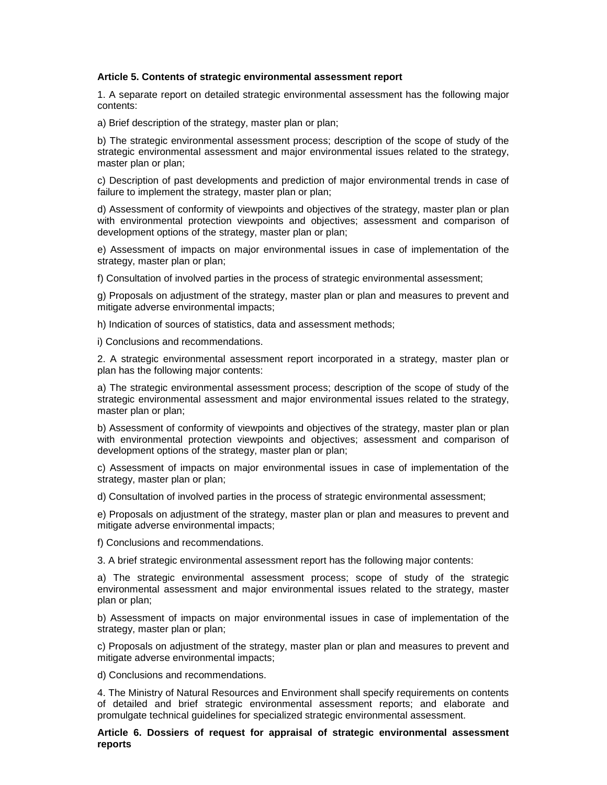### **Article 5. Contents of strategic environmental assessment report**

1. A separate report on detailed strategic environmental assessment has the following major contents:

a) Brief description of the strategy, master plan or plan;

b) The strategic environmental assessment process; description of the scope of study of the strategic environmental assessment and major environmental issues related to the strategy, master plan or plan;

c) Description of past developments and prediction of major environmental trends in case of failure to implement the strategy, master plan or plan;

d) Assessment of conformity of viewpoints and objectives of the strategy, master plan or plan with environmental protection viewpoints and objectives; assessment and comparison of development options of the strategy, master plan or plan;

e) Assessment of impacts on major environmental issues in case of implementation of the strategy, master plan or plan;

f) Consultation of involved parties in the process of strategic environmental assessment;

g) Proposals on adjustment of the strategy, master plan or plan and measures to prevent and mitigate adverse environmental impacts;

h) Indication of sources of statistics, data and assessment methods;

i) Conclusions and recommendations.

2. A strategic environmental assessment report incorporated in a strategy, master plan or plan has the following major contents:

a) The strategic environmental assessment process; description of the scope of study of the strategic environmental assessment and major environmental issues related to the strategy, master plan or plan;

b) Assessment of conformity of viewpoints and objectives of the strategy, master plan or plan with environmental protection viewpoints and objectives; assessment and comparison of development options of the strategy, master plan or plan;

c) Assessment of impacts on major environmental issues in case of implementation of the strategy, master plan or plan;

d) Consultation of involved parties in the process of strategic environmental assessment;

e) Proposals on adjustment of the strategy, master plan or plan and measures to prevent and mitigate adverse environmental impacts;

f) Conclusions and recommendations.

3. A brief strategic environmental assessment report has the following major contents:

a) The strategic environmental assessment process; scope of study of the strategic environmental assessment and major environmental issues related to the strategy, master plan or plan;

b) Assessment of impacts on major environmental issues in case of implementation of the strategy, master plan or plan;

c) Proposals on adjustment of the strategy, master plan or plan and measures to prevent and mitigate adverse environmental impacts;

d) Conclusions and recommendations.

4. The Ministry of Natural Resources and Environment shall specify requirements on contents of detailed and brief strategic environmental assessment reports; and elaborate and promulgate technical guidelines for specialized strategic environmental assessment.

**Article 6. Dossiers of request for appraisal of strategic environmental assessment reports**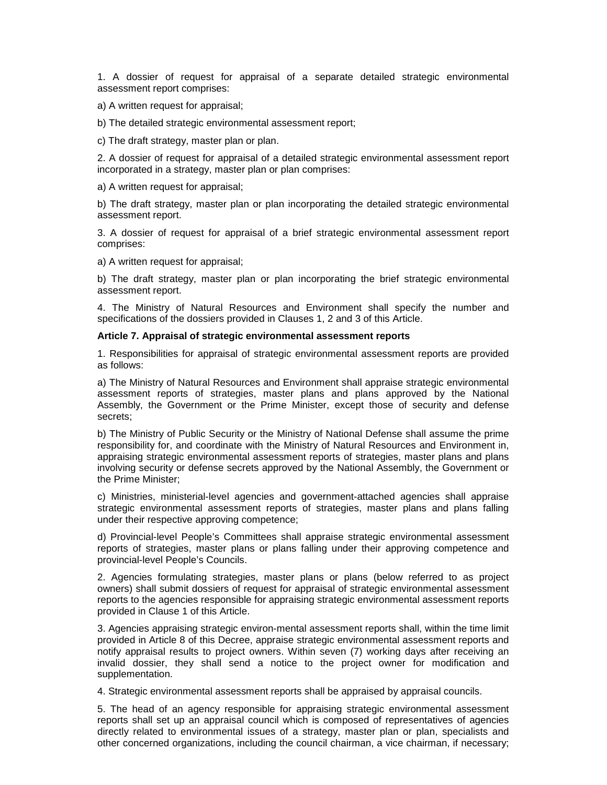1. A dossier of request for appraisal of a separate detailed strategic environmental assessment report comprises:

a) A written request for appraisal;

b) The detailed strategic environmental assessment report;

c) The draft strategy, master plan or plan.

2. A dossier of request for appraisal of a detailed strategic environmental assessment report incorporated in a strategy, master plan or plan comprises:

a) A written request for appraisal;

b) The draft strategy, master plan or plan incorporating the detailed strategic environmental assessment report.

3. A dossier of request for appraisal of a brief strategic environmental assessment report comprises:

a) A written request for appraisal;

b) The draft strategy, master plan or plan incorporating the brief strategic environmental assessment report.

4. The Ministry of Natural Resources and Environment shall specify the number and specifications of the dossiers provided in Clauses 1, 2 and 3 of this Article.

### **Article 7. Appraisal of strategic environmental assessment reports**

1. Responsibilities for appraisal of strategic environmental assessment reports are provided as follows:

a) The Ministry of Natural Resources and Environment shall appraise strategic environmental assessment reports of strategies, master plans and plans approved by the National Assembly, the Government or the Prime Minister, except those of security and defense secrets;

b) The Ministry of Public Security or the Ministry of National Defense shall assume the prime responsibility for, and coordinate with the Ministry of Natural Resources and Environment in, appraising strategic environmental assessment reports of strategies, master plans and plans involving security or defense secrets approved by the National Assembly, the Government or the Prime Minister;

c) Ministries, ministerial-level agencies and government-attached agencies shall appraise strategic environmental assessment reports of strategies, master plans and plans falling under their respective approving competence;

d) Provincial-level People's Committees shall appraise strategic environmental assessment reports of strategies, master plans or plans falling under their approving competence and provincial-level People's Councils.

2. Agencies formulating strategies, master plans or plans (below referred to as project owners) shall submit dossiers of request for appraisal of strategic environmental assessment reports to the agencies responsible for appraising strategic environmental assessment reports provided in Clause 1 of this Article.

3. Agencies appraising strategic environ-mental assessment reports shall, within the time limit provided in Article 8 of this Decree, appraise strategic environmental assessment reports and notify appraisal results to project owners. Within seven (7) working days after receiving an invalid dossier, they shall send a notice to the project owner for modification and supplementation.

4. Strategic environmental assessment reports shall be appraised by appraisal councils.

5. The head of an agency responsible for appraising strategic environmental assessment reports shall set up an appraisal council which is composed of representatives of agencies directly related to environmental issues of a strategy, master plan or plan, specialists and other concerned organizations, including the council chairman, a vice chairman, if necessary;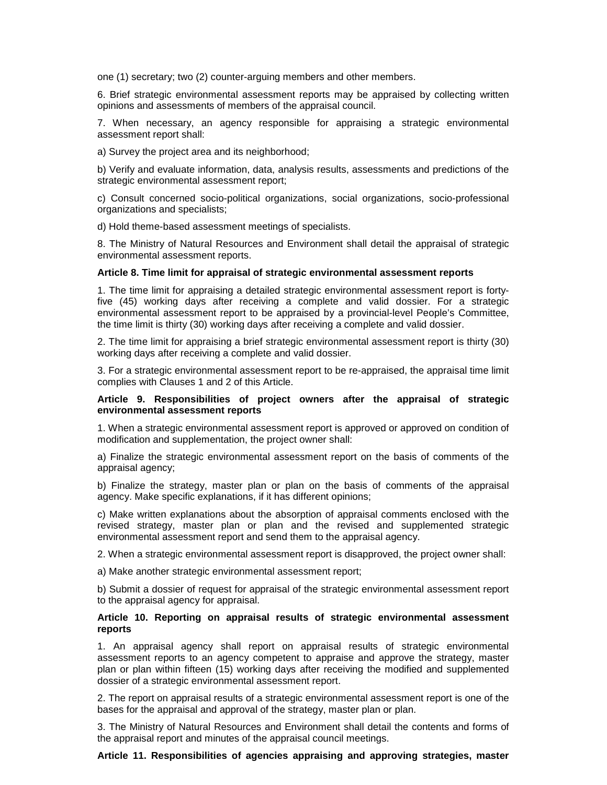one (1) secretary; two (2) counter-arguing members and other members.

6. Brief strategic environmental assessment reports may be appraised by collecting written opinions and assessments of members of the appraisal council.

7. When necessary, an agency responsible for appraising a strategic environmental assessment report shall:

a) Survey the project area and its neighborhood;

b) Verify and evaluate information, data, analysis results, assessments and predictions of the strategic environmental assessment report;

c) Consult concerned socio-political organizations, social organizations, socio-professional organizations and specialists;

d) Hold theme-based assessment meetings of specialists.

8. The Ministry of Natural Resources and Environment shall detail the appraisal of strategic environmental assessment reports.

#### **Article 8. Time limit for appraisal of strategic environmental assessment reports**

1. The time limit for appraising a detailed strategic environmental assessment report is fortyfive (45) working days after receiving a complete and valid dossier. For a strategic environmental assessment report to be appraised by a provincial-level People's Committee, the time limit is thirty (30) working days after receiving a complete and valid dossier.

2. The time limit for appraising a brief strategic environmental assessment report is thirty (30) working days after receiving a complete and valid dossier.

3. For a strategic environmental assessment report to be re-appraised, the appraisal time limit complies with Clauses 1 and 2 of this Article.

### **Article 9. Responsibilities of project owners after the appraisal of strategic environmental assessment reports**

1. When a strategic environmental assessment report is approved or approved on condition of modification and supplementation, the project owner shall:

a) Finalize the strategic environmental assessment report on the basis of comments of the appraisal agency;

b) Finalize the strategy, master plan or plan on the basis of comments of the appraisal agency. Make specific explanations, if it has different opinions;

c) Make written explanations about the absorption of appraisal comments enclosed with the revised strategy, master plan or plan and the revised and supplemented strategic environmental assessment report and send them to the appraisal agency.

2. When a strategic environmental assessment report is disapproved, the project owner shall:

a) Make another strategic environmental assessment report;

b) Submit a dossier of request for appraisal of the strategic environmental assessment report to the appraisal agency for appraisal.

### **Article 10. Reporting on appraisal results of strategic environmental assessment reports**

1. An appraisal agency shall report on appraisal results of strategic environmental assessment reports to an agency competent to appraise and approve the strategy, master plan or plan within fifteen (15) working days after receiving the modified and supplemented dossier of a strategic environmental assessment report.

2. The report on appraisal results of a strategic environmental assessment report is one of the bases for the appraisal and approval of the strategy, master plan or plan.

3. The Ministry of Natural Resources and Environment shall detail the contents and forms of the appraisal report and minutes of the appraisal council meetings.

#### **Article 11. Responsibilities of agencies appraising and approving strategies, master**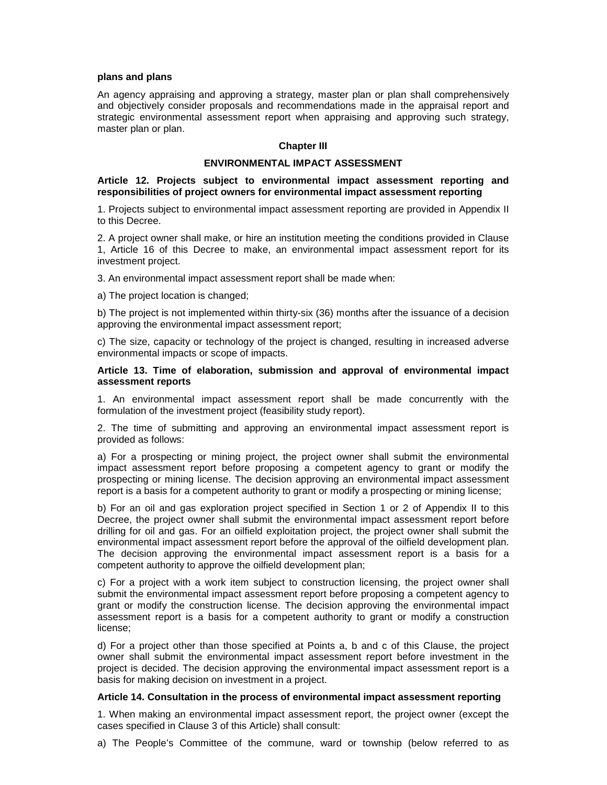### **plans and plans**

An agency appraising and approving a strategy, master plan or plan shall comprehensively and objectively consider proposals and recommendations made in the appraisal report and strategic environmental assessment report when appraising and approving such strategy, master plan or plan.

### **Chapter III**

# **ENVIRONMENTAL IMPACT ASSESSMENT**

### **Article 12. Projects subject to environmental impact assessment reporting and responsibilities of project owners for environmental impact assessment reporting**

1. Projects subject to environmental impact assessment reporting are provided in Appendix II to this Decree.

2. A project owner shall make, or hire an institution meeting the conditions provided in Clause 1, Article 16 of this Decree to make, an environmental impact assessment report for its investment project.

3. An environmental impact assessment report shall be made when:

a) The project location is changed;

b) The project is not implemented within thirty-six (36) months after the issuance of a decision approving the environmental impact assessment report;

c) The size, capacity or technology of the project is changed, resulting in increased adverse environmental impacts or scope of impacts.

### **Article 13. Time of elaboration, submission and approval of environmental impact assessment reports**

1. An environmental impact assessment report shall be made concurrently with the formulation of the investment project (feasibility study report).

2. The time of submitting and approving an environmental impact assessment report is provided as follows:

a) For a prospecting or mining project, the project owner shall submit the environmental impact assessment report before proposing a competent agency to grant or modify the prospecting or mining license. The decision approving an environmental impact assessment report is a basis for a competent authority to grant or modify a prospecting or mining license;

b) For an oil and gas exploration project specified in Section 1 or 2 of Appendix II to this Decree, the project owner shall submit the environmental impact assessment report before drilling for oil and gas. For an oilfield exploitation project, the project owner shall submit the environmental impact assessment report before the approval of the oilfield development plan. The decision approving the environmental impact assessment report is a basis for a competent authority to approve the oilfield development plan;

c) For a project with a work item subject to construction licensing, the project owner shall submit the environmental impact assessment report before proposing a competent agency to grant or modify the construction license. The decision approving the environmental impact assessment report is a basis for a competent authority to grant or modify a construction license;

d) For a project other than those specified at Points a, b and c of this Clause, the project owner shall submit the environmental impact assessment report before investment in the project is decided. The decision approving the environmental impact assessment report is a basis for making decision on investment in a project.

#### **Article 14. Consultation in the process of environmental impact assessment reporting**

1. When making an environmental impact assessment report, the project owner (except the cases specified in Clause 3 of this Article) shall consult:

a) The People's Committee of the commune, ward or township (below referred to as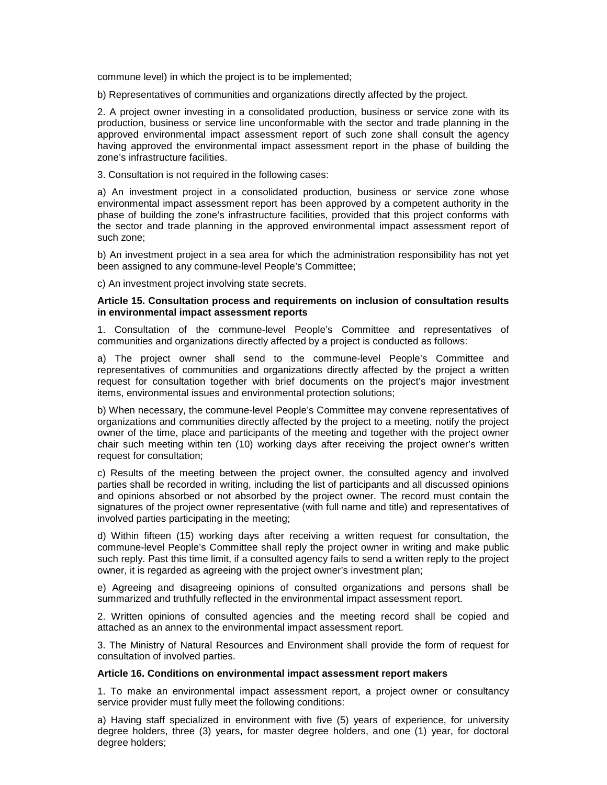commune level) in which the project is to be implemented;

b) Representatives of communities and organizations directly affected by the project.

2. A project owner investing in a consolidated production, business or service zone with its production, business or service line unconformable with the sector and trade planning in the approved environmental impact assessment report of such zone shall consult the agency having approved the environmental impact assessment report in the phase of building the zone's infrastructure facilities.

3. Consultation is not required in the following cases:

a) An investment project in a consolidated production, business or service zone whose environmental impact assessment report has been approved by a competent authority in the phase of building the zone's infrastructure facilities, provided that this project conforms with the sector and trade planning in the approved environmental impact assessment report of such zone;

b) An investment project in a sea area for which the administration responsibility has not yet been assigned to any commune-level People's Committee;

c) An investment project involving state secrets.

# **Article 15. Consultation process and requirements on inclusion of consultation results in environmental impact assessment reports**

1. Consultation of the commune-level People's Committee and representatives of communities and organizations directly affected by a project is conducted as follows:

a) The project owner shall send to the commune-level People's Committee and representatives of communities and organizations directly affected by the project a written request for consultation together with brief documents on the project's major investment items, environmental issues and environmental protection solutions;

b) When necessary, the commune-level People's Committee may convene representatives of organizations and communities directly affected by the project to a meeting, notify the project owner of the time, place and participants of the meeting and together with the project owner chair such meeting within ten (10) working days after receiving the project owner's written request for consultation;

c) Results of the meeting between the project owner, the consulted agency and involved parties shall be recorded in writing, including the list of participants and all discussed opinions and opinions absorbed or not absorbed by the project owner. The record must contain the signatures of the project owner representative (with full name and title) and representatives of involved parties participating in the meeting;

d) Within fifteen (15) working days after receiving a written request for consultation, the commune-level People's Committee shall reply the project owner in writing and make public such reply. Past this time limit, if a consulted agency fails to send a written reply to the project owner, it is regarded as agreeing with the project owner's investment plan;

e) Agreeing and disagreeing opinions of consulted organizations and persons shall be summarized and truthfully reflected in the environmental impact assessment report.

2. Written opinions of consulted agencies and the meeting record shall be copied and attached as an annex to the environmental impact assessment report.

3. The Ministry of Natural Resources and Environment shall provide the form of request for consultation of involved parties.

# **Article 16. Conditions on environmental impact assessment report makers**

1. To make an environmental impact assessment report, a project owner or consultancy service provider must fully meet the following conditions:

a) Having staff specialized in environment with five (5) years of experience, for university degree holders, three (3) years, for master degree holders, and one (1) year, for doctoral degree holders;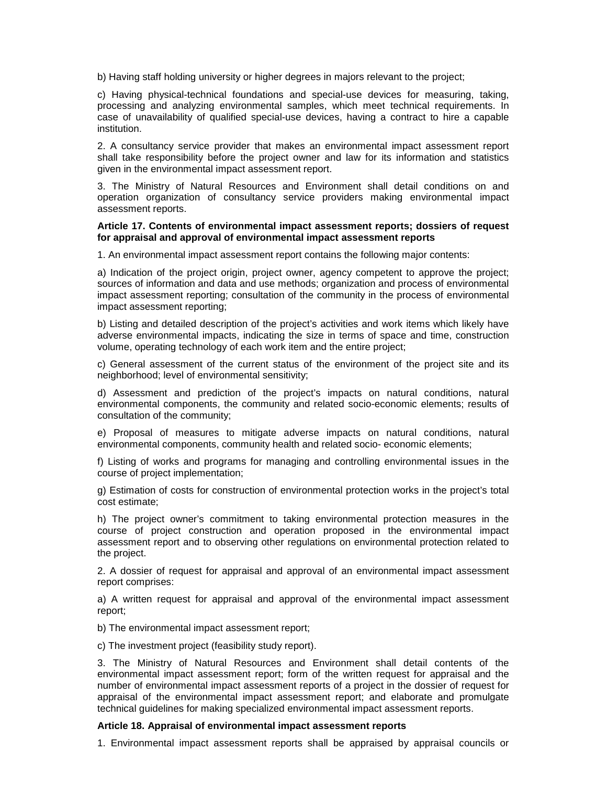b) Having staff holding university or higher degrees in majors relevant to the project;

c) Having physical-technical foundations and special-use devices for measuring, taking, processing and analyzing environmental samples, which meet technical requirements. In case of unavailability of qualified special-use devices, having a contract to hire a capable institution.

2. A consultancy service provider that makes an environmental impact assessment report shall take responsibility before the project owner and law for its information and statistics given in the environmental impact assessment report.

3. The Ministry of Natural Resources and Environment shall detail conditions on and operation organization of consultancy service providers making environmental impact assessment reports.

### **Article 17. Contents of environmental impact assessment reports; dossiers of request for appraisal and approval of environmental impact assessment reports**

1. An environmental impact assessment report contains the following major contents:

a) Indication of the project origin, project owner, agency competent to approve the project; sources of information and data and use methods; organization and process of environmental impact assessment reporting; consultation of the community in the process of environmental impact assessment reporting;

b) Listing and detailed description of the project's activities and work items which likely have adverse environmental impacts, indicating the size in terms of space and time, construction volume, operating technology of each work item and the entire project;

c) General assessment of the current status of the environment of the project site and its neighborhood; level of environmental sensitivity;

d) Assessment and prediction of the project's impacts on natural conditions, natural environmental components, the community and related socio-economic elements; results of consultation of the community;

e) Proposal of measures to mitigate adverse impacts on natural conditions, natural environmental components, community health and related socio- economic elements;

f) Listing of works and programs for managing and controlling environmental issues in the course of project implementation;

g) Estimation of costs for construction of environmental protection works in the project's total cost estimate;

h) The project owner's commitment to taking environmental protection measures in the course of project construction and operation proposed in the environmental impact assessment report and to observing other regulations on environmental protection related to the project.

2. A dossier of request for appraisal and approval of an environmental impact assessment report comprises:

a) A written request for appraisal and approval of the environmental impact assessment report;

b) The environmental impact assessment report;

c) The investment project (feasibility study report).

3. The Ministry of Natural Resources and Environment shall detail contents of the environmental impact assessment report; form of the written request for appraisal and the number of environmental impact assessment reports of a project in the dossier of request for appraisal of the environmental impact assessment report; and elaborate and promulgate technical guidelines for making specialized environmental impact assessment reports.

# **Article 18. Appraisal of environmental impact assessment reports**

1. Environmental impact assessment reports shall be appraised by appraisal councils or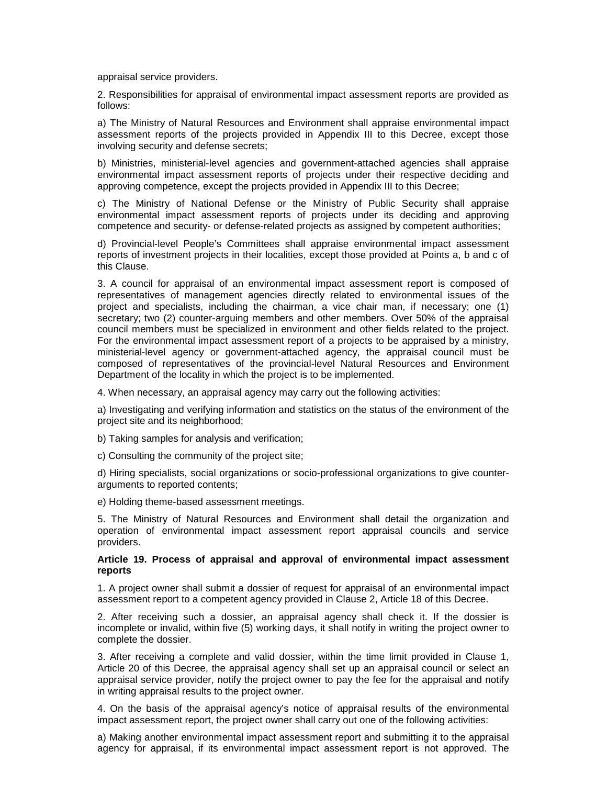appraisal service providers.

2. Responsibilities for appraisal of environmental impact assessment reports are provided as follows:

a) The Ministry of Natural Resources and Environment shall appraise environmental impact assessment reports of the projects provided in Appendix III to this Decree, except those involving security and defense secrets;

b) Ministries, ministerial-level agencies and government-attached agencies shall appraise environmental impact assessment reports of projects under their respective deciding and approving competence, except the projects provided in Appendix III to this Decree;

c) The Ministry of National Defense or the Ministry of Public Security shall appraise environmental impact assessment reports of projects under its deciding and approving competence and security- or defense-related projects as assigned by competent authorities;

d) Provincial-level People's Committees shall appraise environmental impact assessment reports of investment projects in their localities, except those provided at Points a, b and c of this Clause.

3. A council for appraisal of an environmental impact assessment report is composed of representatives of management agencies directly related to environmental issues of the project and specialists, including the chairman, a vice chair man, if necessary; one (1) secretary; two (2) counter-arguing members and other members. Over 50% of the appraisal council members must be specialized in environment and other fields related to the project. For the environmental impact assessment report of a projects to be appraised by a ministry, ministerial-level agency or government-attached agency, the appraisal council must be composed of representatives of the provincial-level Natural Resources and Environment Department of the locality in which the project is to be implemented.

4. When necessary, an appraisal agency may carry out the following activities:

a) Investigating and verifying information and statistics on the status of the environment of the project site and its neighborhood;

b) Taking samples for analysis and verification;

c) Consulting the community of the project site;

d) Hiring specialists, social organizations or socio-professional organizations to give counterarguments to reported contents;

e) Holding theme-based assessment meetings.

5. The Ministry of Natural Resources and Environment shall detail the organization and operation of environmental impact assessment report appraisal councils and service providers.

### **Article 19. Process of appraisal and approval of environmental impact assessment reports**

1. A project owner shall submit a dossier of request for appraisal of an environmental impact assessment report to a competent agency provided in Clause 2, Article 18 of this Decree.

2. After receiving such a dossier, an appraisal agency shall check it. If the dossier is incomplete or invalid, within five (5) working days, it shall notify in writing the project owner to complete the dossier.

3. After receiving a complete and valid dossier, within the time limit provided in Clause 1, Article 20 of this Decree, the appraisal agency shall set up an appraisal council or select an appraisal service provider, notify the project owner to pay the fee for the appraisal and notify in writing appraisal results to the project owner.

4. On the basis of the appraisal agency's notice of appraisal results of the environmental impact assessment report, the project owner shall carry out one of the following activities:

a) Making another environmental impact assessment report and submitting it to the appraisal agency for appraisal, if its environmental impact assessment report is not approved. The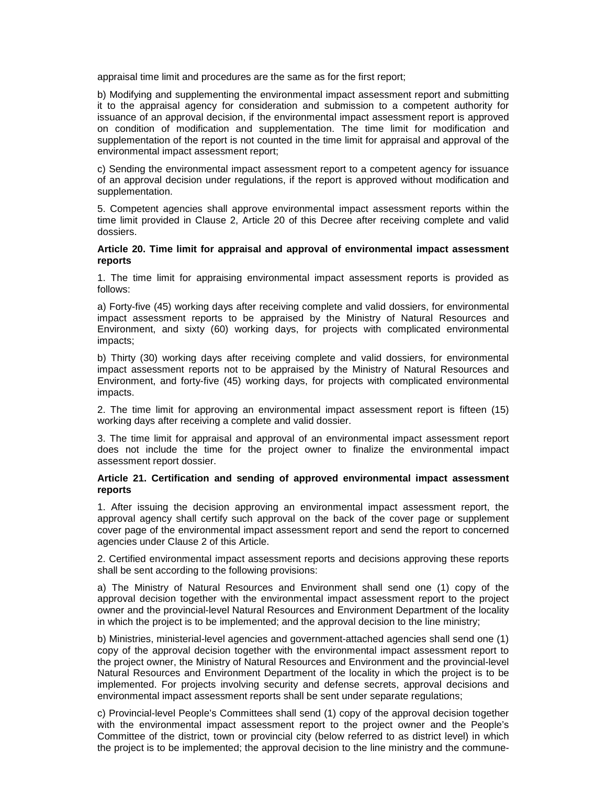appraisal time limit and procedures are the same as for the first report;

b) Modifying and supplementing the environmental impact assessment report and submitting it to the appraisal agency for consideration and submission to a competent authority for issuance of an approval decision, if the environmental impact assessment report is approved on condition of modification and supplementation. The time limit for modification and supplementation of the report is not counted in the time limit for appraisal and approval of the environmental impact assessment report;

c) Sending the environmental impact assessment report to a competent agency for issuance of an approval decision under regulations, if the report is approved without modification and supplementation.

5. Competent agencies shall approve environmental impact assessment reports within the time limit provided in Clause 2, Article 20 of this Decree after receiving complete and valid dossiers.

### **Article 20. Time limit for appraisal and approval of environmental impact assessment reports**

1. The time limit for appraising environmental impact assessment reports is provided as follows:

a) Forty-five (45) working days after receiving complete and valid dossiers, for environmental impact assessment reports to be appraised by the Ministry of Natural Resources and Environment, and sixty (60) working days, for projects with complicated environmental impacts;

b) Thirty (30) working days after receiving complete and valid dossiers, for environmental impact assessment reports not to be appraised by the Ministry of Natural Resources and Environment, and forty-five (45) working days, for projects with complicated environmental impacts.

2. The time limit for approving an environmental impact assessment report is fifteen (15) working days after receiving a complete and valid dossier.

3. The time limit for appraisal and approval of an environmental impact assessment report does not include the time for the project owner to finalize the environmental impact assessment report dossier.

# **Article 21. Certification and sending of approved environmental impact assessment reports**

1. After issuing the decision approving an environmental impact assessment report, the approval agency shall certify such approval on the back of the cover page or supplement cover page of the environmental impact assessment report and send the report to concerned agencies under Clause 2 of this Article.

2. Certified environmental impact assessment reports and decisions approving these reports shall be sent according to the following provisions:

a) The Ministry of Natural Resources and Environment shall send one (1) copy of the approval decision together with the environmental impact assessment report to the project owner and the provincial-level Natural Resources and Environment Department of the locality in which the project is to be implemented; and the approval decision to the line ministry;

b) Ministries, ministerial-level agencies and government-attached agencies shall send one (1) copy of the approval decision together with the environmental impact assessment report to the project owner, the Ministry of Natural Resources and Environment and the provincial-level Natural Resources and Environment Department of the locality in which the project is to be implemented. For projects involving security and defense secrets, approval decisions and environmental impact assessment reports shall be sent under separate regulations;

c) Provincial-level People's Committees shall send (1) copy of the approval decision together with the environmental impact assessment report to the project owner and the People's Committee of the district, town or provincial city (below referred to as district level) in which the project is to be implemented; the approval decision to the line ministry and the commune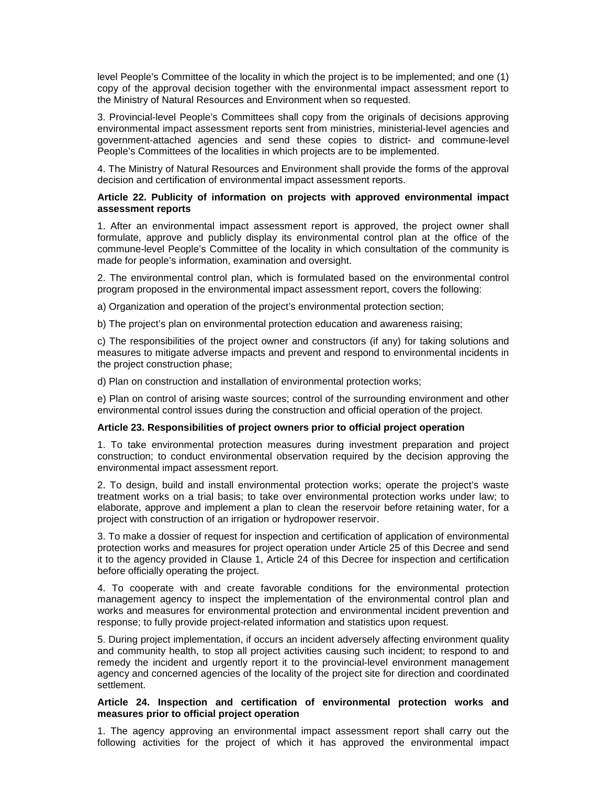level People's Committee of the locality in which the project is to be implemented; and one (1) copy of the approval decision together with the environmental impact assessment report to the Ministry of Natural Resources and Environment when so requested.

3. Provincial-level People's Committees shall copy from the originals of decisions approving environmental impact assessment reports sent from ministries, ministerial-level agencies and government-attached agencies and send these copies to district- and commune-level People's Committees of the localities in which projects are to be implemented.

4. The Ministry of Natural Resources and Environment shall provide the forms of the approval decision and certification of environmental impact assessment reports.

### **Article 22. Publicity of information on projects with approved environmental impact assessment reports**

1. After an environmental impact assessment report is approved, the project owner shall formulate, approve and publicly display its environmental control plan at the office of the commune-level People's Committee of the locality in which consultation of the community is made for people's information, examination and oversight.

2. The environmental control plan, which is formulated based on the environmental control program proposed in the environmental impact assessment report, covers the following:

a) Organization and operation of the project's environmental protection section;

b) The project's plan on environmental protection education and awareness raising;

c) The responsibilities of the project owner and constructors (if any) for taking solutions and measures to mitigate adverse impacts and prevent and respond to environmental incidents in the project construction phase;

d) Plan on construction and installation of environmental protection works;

e) Plan on control of arising waste sources; control of the surrounding environment and other environmental control issues during the construction and official operation of the project.

# **Article 23. Responsibilities of project owners prior to official project operation**

1. To take environmental protection measures during investment preparation and project construction; to conduct environmental observation required by the decision approving the environmental impact assessment report.

2. To design, build and install environmental protection works; operate the project's waste treatment works on a trial basis; to take over environmental protection works under law; to elaborate, approve and implement a plan to clean the reservoir before retaining water, for a project with construction of an irrigation or hydropower reservoir.

3. To make a dossier of request for inspection and certification of application of environmental protection works and measures for project operation under Article 25 of this Decree and send it to the agency provided in Clause 1, Article 24 of this Decree for inspection and certification before officially operating the project.

4. To cooperate with and create favorable conditions for the environmental protection management agency to inspect the implementation of the environmental control plan and works and measures for environmental protection and environmental incident prevention and response; to fully provide project-related information and statistics upon request.

5. During project implementation, if occurs an incident adversely affecting environment quality and community health, to stop all project activities causing such incident; to respond to and remedy the incident and urgently report it to the provincial-level environment management agency and concerned agencies of the locality of the project site for direction and coordinated settlement.

# **Article 24. Inspection and certification of environmental protection works and measures prior to official project operation**

1. The agency approving an environmental impact assessment report shall carry out the following activities for the project of which it has approved the environmental impact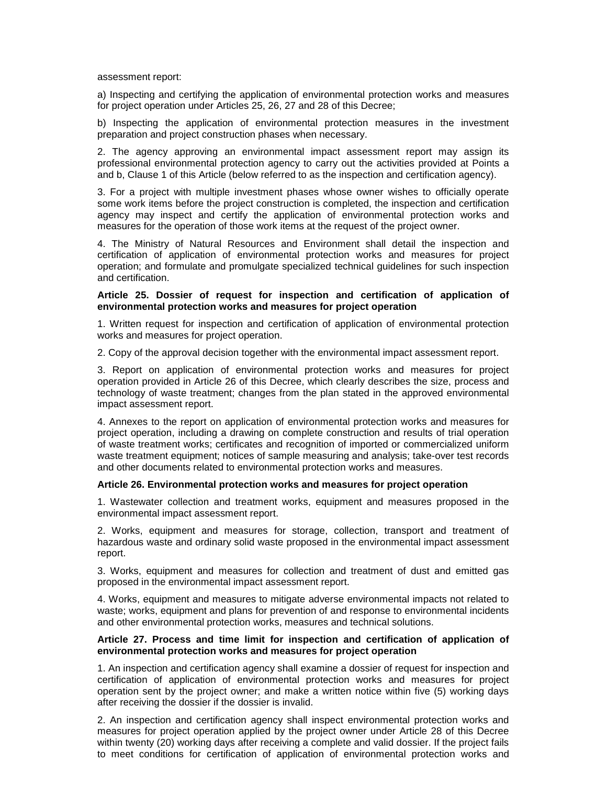assessment report:

a) Inspecting and certifying the application of environmental protection works and measures for project operation under Articles 25, 26, 27 and 28 of this Decree;

b) Inspecting the application of environmental protection measures in the investment preparation and project construction phases when necessary.

2. The agency approving an environmental impact assessment report may assign its professional environmental protection agency to carry out the activities provided at Points a and b, Clause 1 of this Article (below referred to as the inspection and certification agency).

3. For a project with multiple investment phases whose owner wishes to officially operate some work items before the project construction is completed, the inspection and certification agency may inspect and certify the application of environmental protection works and measures for the operation of those work items at the request of the project owner.

4. The Ministry of Natural Resources and Environment shall detail the inspection and certification of application of environmental protection works and measures for project operation; and formulate and promulgate specialized technical guidelines for such inspection and certification.

### **Article 25. Dossier of request for inspection and certification of application of environmental protection works and measures for project operation**

1. Written request for inspection and certification of application of environmental protection works and measures for project operation.

2. Copy of the approval decision together with the environmental impact assessment report.

3. Report on application of environmental protection works and measures for project operation provided in Article 26 of this Decree, which clearly describes the size, process and technology of waste treatment; changes from the plan stated in the approved environmental impact assessment report.

4. Annexes to the report on application of environmental protection works and measures for project operation, including a drawing on complete construction and results of trial operation of waste treatment works; certificates and recognition of imported or commercialized uniform waste treatment equipment; notices of sample measuring and analysis; take-over test records and other documents related to environmental protection works and measures.

#### **Article 26. Environmental protection works and measures for project operation**

1. Wastewater collection and treatment works, equipment and measures proposed in the environmental impact assessment report.

2. Works, equipment and measures for storage, collection, transport and treatment of hazardous waste and ordinary solid waste proposed in the environmental impact assessment report.

3. Works, equipment and measures for collection and treatment of dust and emitted gas proposed in the environmental impact assessment report.

4. Works, equipment and measures to mitigate adverse environmental impacts not related to waste; works, equipment and plans for prevention of and response to environmental incidents and other environmental protection works, measures and technical solutions.

#### **Article 27. Process and time limit for inspection and certification of application of environmental protection works and measures for project operation**

1. An inspection and certification agency shall examine a dossier of request for inspection and certification of application of environmental protection works and measures for project operation sent by the project owner; and make a written notice within five (5) working days after receiving the dossier if the dossier is invalid.

2. An inspection and certification agency shall inspect environmental protection works and measures for project operation applied by the project owner under Article 28 of this Decree within twenty (20) working days after receiving a complete and valid dossier. If the project fails to meet conditions for certification of application of environmental protection works and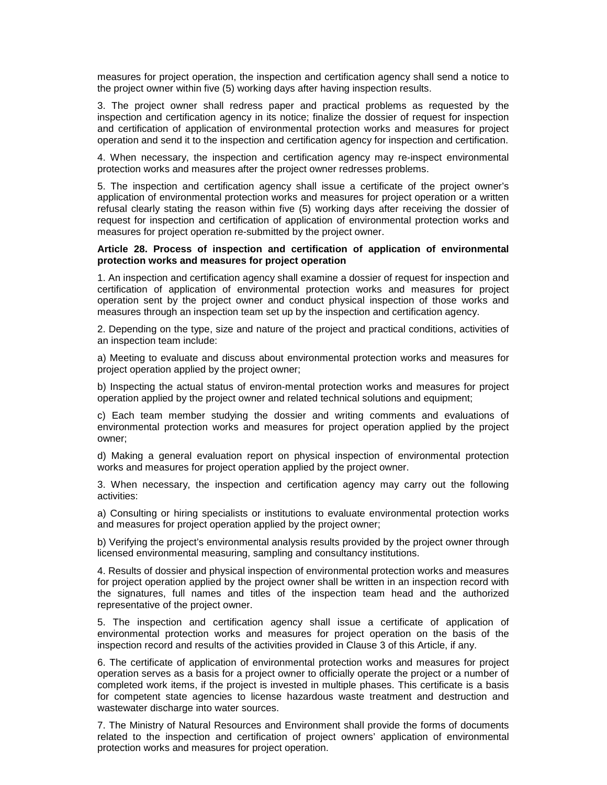measures for project operation, the inspection and certification agency shall send a notice to the project owner within five (5) working days after having inspection results.

3. The project owner shall redress paper and practical problems as requested by the inspection and certification agency in its notice; finalize the dossier of request for inspection and certification of application of environmental protection works and measures for project operation and send it to the inspection and certification agency for inspection and certification.

4. When necessary, the inspection and certification agency may re-inspect environmental protection works and measures after the project owner redresses problems.

5. The inspection and certification agency shall issue a certificate of the project owner's application of environmental protection works and measures for project operation or a written refusal clearly stating the reason within five (5) working days after receiving the dossier of request for inspection and certification of application of environmental protection works and measures for project operation re-submitted by the project owner.

### **Article 28. Process of inspection and certification of application of environmental protection works and measures for project operation**

1. An inspection and certification agency shall examine a dossier of request for inspection and certification of application of environmental protection works and measures for project operation sent by the project owner and conduct physical inspection of those works and measures through an inspection team set up by the inspection and certification agency.

2. Depending on the type, size and nature of the project and practical conditions, activities of an inspection team include:

a) Meeting to evaluate and discuss about environmental protection works and measures for project operation applied by the project owner;

b) Inspecting the actual status of environ-mental protection works and measures for project operation applied by the project owner and related technical solutions and equipment;

c) Each team member studying the dossier and writing comments and evaluations of environmental protection works and measures for project operation applied by the project owner;

d) Making a general evaluation report on physical inspection of environmental protection works and measures for project operation applied by the project owner.

3. When necessary, the inspection and certification agency may carry out the following activities:

a) Consulting or hiring specialists or institutions to evaluate environmental protection works and measures for project operation applied by the project owner;

b) Verifying the project's environmental analysis results provided by the project owner through licensed environmental measuring, sampling and consultancy institutions.

4. Results of dossier and physical inspection of environmental protection works and measures for project operation applied by the project owner shall be written in an inspection record with the signatures, full names and titles of the inspection team head and the authorized representative of the project owner.

5. The inspection and certification agency shall issue a certificate of application of environmental protection works and measures for project operation on the basis of the inspection record and results of the activities provided in Clause 3 of this Article, if any.

6. The certificate of application of environmental protection works and measures for project operation serves as a basis for a project owner to officially operate the project or a number of completed work items, if the project is invested in multiple phases. This certificate is a basis for competent state agencies to license hazardous waste treatment and destruction and wastewater discharge into water sources.

7. The Ministry of Natural Resources and Environment shall provide the forms of documents related to the inspection and certification of project owners' application of environmental protection works and measures for project operation.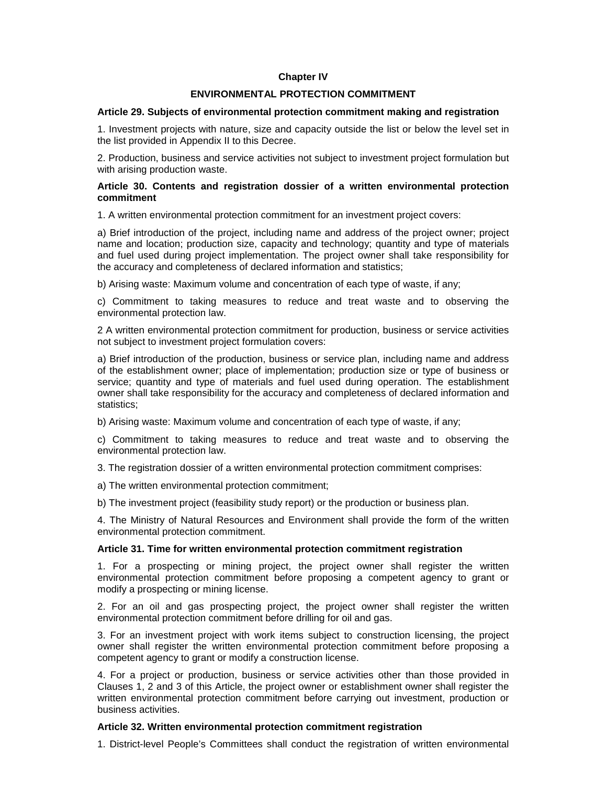# **Chapter IV**

# **ENVIRONMENTAL PROTECTION COMMITMENT**

### **Article 29. Subjects of environmental protection commitment making and registration**

1. Investment projects with nature, size and capacity outside the list or below the level set in the list provided in Appendix II to this Decree.

2. Production, business and service activities not subject to investment project formulation but with arising production waste.

### **Article 30. Contents and registration dossier of a written environmental protection commitment**

1. A written environmental protection commitment for an investment project covers:

a) Brief introduction of the project, including name and address of the project owner; project name and location; production size, capacity and technology; quantity and type of materials and fuel used during project implementation. The project owner shall take responsibility for the accuracy and completeness of declared information and statistics;

b) Arising waste: Maximum volume and concentration of each type of waste, if any;

c) Commitment to taking measures to reduce and treat waste and to observing the environmental protection law.

2 A written environmental protection commitment for production, business or service activities not subject to investment project formulation covers:

a) Brief introduction of the production, business or service plan, including name and address of the establishment owner; place of implementation; production size or type of business or service; quantity and type of materials and fuel used during operation. The establishment owner shall take responsibility for the accuracy and completeness of declared information and statistics;

b) Arising waste: Maximum volume and concentration of each type of waste, if any;

c) Commitment to taking measures to reduce and treat waste and to observing the environmental protection law.

3. The registration dossier of a written environmental protection commitment comprises:

a) The written environmental protection commitment;

b) The investment project (feasibility study report) or the production or business plan.

4. The Ministry of Natural Resources and Environment shall provide the form of the written environmental protection commitment.

# **Article 31. Time for written environmental protection commitment registration**

1. For a prospecting or mining project, the project owner shall register the written environmental protection commitment before proposing a competent agency to grant or modify a prospecting or mining license.

2. For an oil and gas prospecting project, the project owner shall register the written environmental protection commitment before drilling for oil and gas.

3. For an investment project with work items subject to construction licensing, the project owner shall register the written environmental protection commitment before proposing a competent agency to grant or modify a construction license.

4. For a project or production, business or service activities other than those provided in Clauses 1, 2 and 3 of this Article, the project owner or establishment owner shall register the written environmental protection commitment before carrying out investment, production or business activities.

# **Article 32. Written environmental protection commitment registration**

1. District-level People's Committees shall conduct the registration of written environmental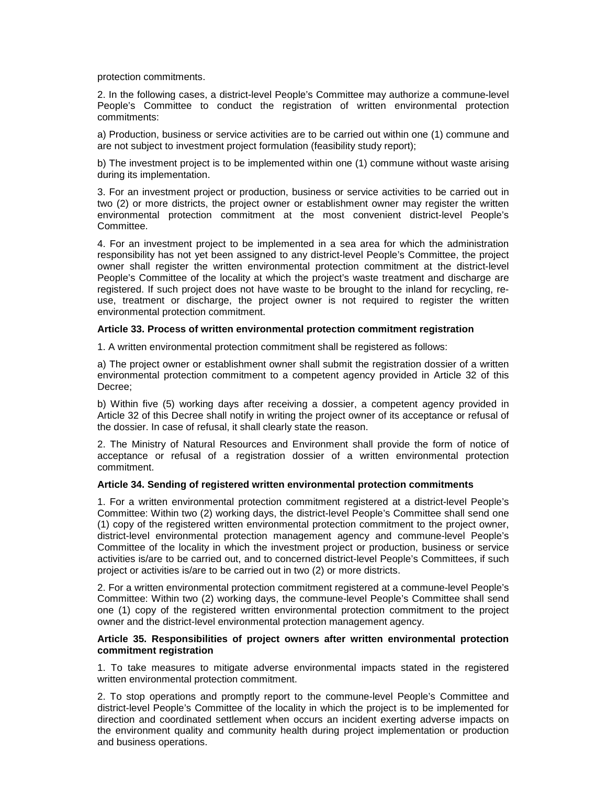protection commitments.

2. In the following cases, a district-level People's Committee may authorize a commune-level People's Committee to conduct the registration of written environmental protection commitments:

a) Production, business or service activities are to be carried out within one (1) commune and are not subject to investment project formulation (feasibility study report);

b) The investment project is to be implemented within one (1) commune without waste arising during its implementation.

3. For an investment project or production, business or service activities to be carried out in two (2) or more districts, the project owner or establishment owner may register the written environmental protection commitment at the most convenient district-level People's Committee.

4. For an investment project to be implemented in a sea area for which the administration responsibility has not yet been assigned to any district-level People's Committee, the project owner shall register the written environmental protection commitment at the district-level People's Committee of the locality at which the project's waste treatment and discharge are registered. If such project does not have waste to be brought to the inland for recycling, reuse, treatment or discharge, the project owner is not required to register the written environmental protection commitment.

# **Article 33. Process of written environmental protection commitment registration**

1. A written environmental protection commitment shall be registered as follows:

a) The project owner or establishment owner shall submit the registration dossier of a written environmental protection commitment to a competent agency provided in Article 32 of this Decree;

b) Within five (5) working days after receiving a dossier, a competent agency provided in Article 32 of this Decree shall notify in writing the project owner of its acceptance or refusal of the dossier. In case of refusal, it shall clearly state the reason.

2. The Ministry of Natural Resources and Environment shall provide the form of notice of acceptance or refusal of a registration dossier of a written environmental protection commitment.

# **Article 34. Sending of registered written environmental protection commitments**

1. For a written environmental protection commitment registered at a district-level People's Committee: Within two (2) working days, the district-level People's Committee shall send one (1) copy of the registered written environmental protection commitment to the project owner, district-level environmental protection management agency and commune-level People's Committee of the locality in which the investment project or production, business or service activities is/are to be carried out, and to concerned district-level People's Committees, if such project or activities is/are to be carried out in two (2) or more districts.

2. For a written environmental protection commitment registered at a commune-level People's Committee: Within two (2) working days, the commune-level People's Committee shall send one (1) copy of the registered written environmental protection commitment to the project owner and the district-level environmental protection management agency.

### **Article 35. Responsibilities of project owners after written environmental protection commitment registration**

1. To take measures to mitigate adverse environmental impacts stated in the registered written environmental protection commitment.

2. To stop operations and promptly report to the commune-level People's Committee and district-level People's Committee of the locality in which the project is to be implemented for direction and coordinated settlement when occurs an incident exerting adverse impacts on the environment quality and community health during project implementation or production and business operations.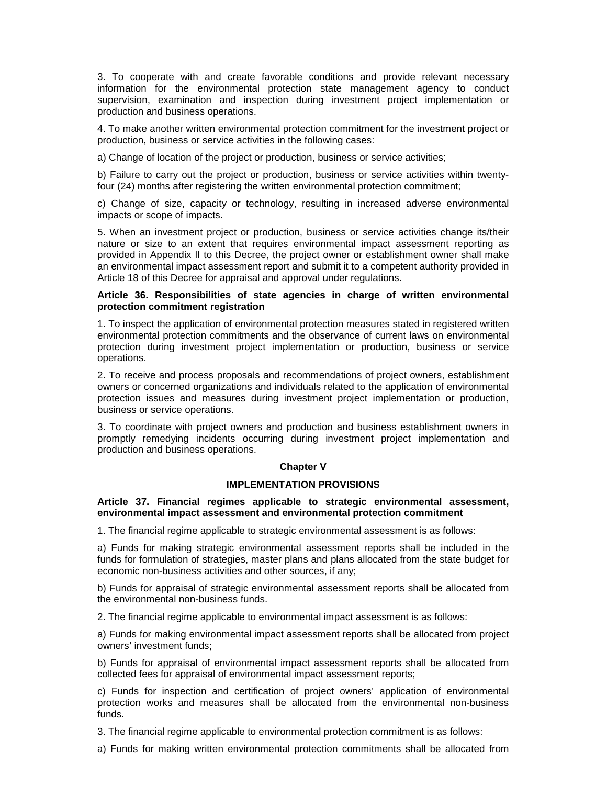3. To cooperate with and create favorable conditions and provide relevant necessary information for the environmental protection state management agency to conduct supervision, examination and inspection during investment project implementation or production and business operations.

4. To make another written environmental protection commitment for the investment project or production, business or service activities in the following cases:

a) Change of location of the project or production, business or service activities;

b) Failure to carry out the project or production, business or service activities within twentyfour (24) months after registering the written environmental protection commitment;

c) Change of size, capacity or technology, resulting in increased adverse environmental impacts or scope of impacts.

5. When an investment project or production, business or service activities change its/their nature or size to an extent that requires environmental impact assessment reporting as provided in Appendix II to this Decree, the project owner or establishment owner shall make an environmental impact assessment report and submit it to a competent authority provided in Article 18 of this Decree for appraisal and approval under regulations.

### **Article 36. Responsibilities of state agencies in charge of written environmental protection commitment registration**

1. To inspect the application of environmental protection measures stated in registered written environmental protection commitments and the observance of current laws on environmental protection during investment project implementation or production, business or service operations.

2. To receive and process proposals and recommendations of project owners, establishment owners or concerned organizations and individuals related to the application of environmental protection issues and measures during investment project implementation or production, business or service operations.

3. To coordinate with project owners and production and business establishment owners in promptly remedying incidents occurring during investment project implementation and production and business operations.

# **Chapter V**

#### **IMPLEMENTATION PROVISIONS**

**Article 37. Financial regimes applicable to strategic environmental assessment, environmental impact assessment and environmental protection commitment**

1. The financial regime applicable to strategic environmental assessment is as follows:

a) Funds for making strategic environmental assessment reports shall be included in the funds for formulation of strategies, master plans and plans allocated from the state budget for economic non-business activities and other sources, if any;

b) Funds for appraisal of strategic environmental assessment reports shall be allocated from the environmental non-business funds.

2. The financial regime applicable to environmental impact assessment is as follows:

a) Funds for making environmental impact assessment reports shall be allocated from project owners' investment funds;

b) Funds for appraisal of environmental impact assessment reports shall be allocated from collected fees for appraisal of environmental impact assessment reports;

c) Funds for inspection and certification of project owners' application of environmental protection works and measures shall be allocated from the environmental non-business funds.

3. The financial regime applicable to environmental protection commitment is as follows:

a) Funds for making written environmental protection commitments shall be allocated from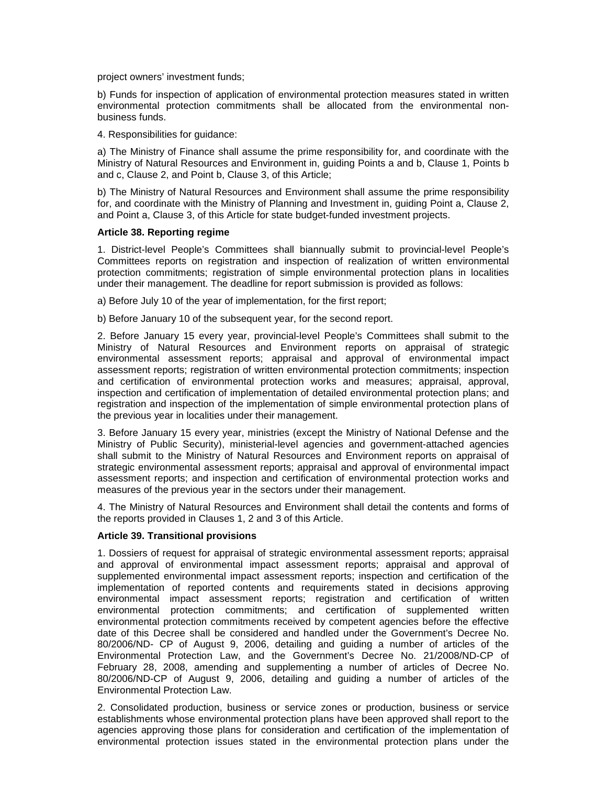project owners' investment funds;

b) Funds for inspection of application of environmental protection measures stated in written environmental protection commitments shall be allocated from the environmental nonbusiness funds.

4. Responsibilities for guidance:

a) The Ministry of Finance shall assume the prime responsibility for, and coordinate with the Ministry of Natural Resources and Environment in, guiding Points a and b, Clause 1, Points b and c, Clause 2, and Point b, Clause 3, of this Article;

b) The Ministry of Natural Resources and Environment shall assume the prime responsibility for, and coordinate with the Ministry of Planning and Investment in, guiding Point a, Clause 2, and Point a, Clause 3, of this Article for state budget-funded investment projects.

# **Article 38. Reporting regime**

1. District-level People's Committees shall biannually submit to provincial-level People's Committees reports on registration and inspection of realization of written environmental protection commitments; registration of simple environmental protection plans in localities under their management. The deadline for report submission is provided as follows:

a) Before July 10 of the year of implementation, for the first report;

b) Before January 10 of the subsequent year, for the second report.

2. Before January 15 every year, provincial-level People's Committees shall submit to the Ministry of Natural Resources and Environment reports on appraisal of strategic environmental assessment reports; appraisal and approval of environmental impact assessment reports; registration of written environmental protection commitments; inspection and certification of environmental protection works and measures; appraisal, approval, inspection and certification of implementation of detailed environmental protection plans; and registration and inspection of the implementation of simple environmental protection plans of the previous year in localities under their management.

3. Before January 15 every year, ministries (except the Ministry of National Defense and the Ministry of Public Security), ministerial-level agencies and government-attached agencies shall submit to the Ministry of Natural Resources and Environment reports on appraisal of strategic environmental assessment reports; appraisal and approval of environmental impact assessment reports; and inspection and certification of environmental protection works and measures of the previous year in the sectors under their management.

4. The Ministry of Natural Resources and Environment shall detail the contents and forms of the reports provided in Clauses 1, 2 and 3 of this Article.

# **Article 39. Transitional provisions**

1. Dossiers of request for appraisal of strategic environmental assessment reports; appraisal and approval of environmental impact assessment reports; appraisal and approval of supplemented environmental impact assessment reports; inspection and certification of the implementation of reported contents and requirements stated in decisions approving environmental impact assessment reports; registration and certification of written environmental protection commitments; and certification of supplemented written environmental protection commitments received by competent agencies before the effective date of this Decree shall be considered and handled under the Government's Decree No. 80/2006/ND- CP of August 9, 2006, detailing and guiding a number of articles of the Environmental Protection Law, and the Government's Decree No. 21/2008/ND-CP of February 28, 2008, amending and supplementing a number of articles of Decree No. 80/2006/ND-CP of August 9, 2006, detailing and guiding a number of articles of the Environmental Protection Law.

2. Consolidated production, business or service zones or production, business or service establishments whose environmental protection plans have been approved shall report to the agencies approving those plans for consideration and certification of the implementation of environmental protection issues stated in the environmental protection plans under the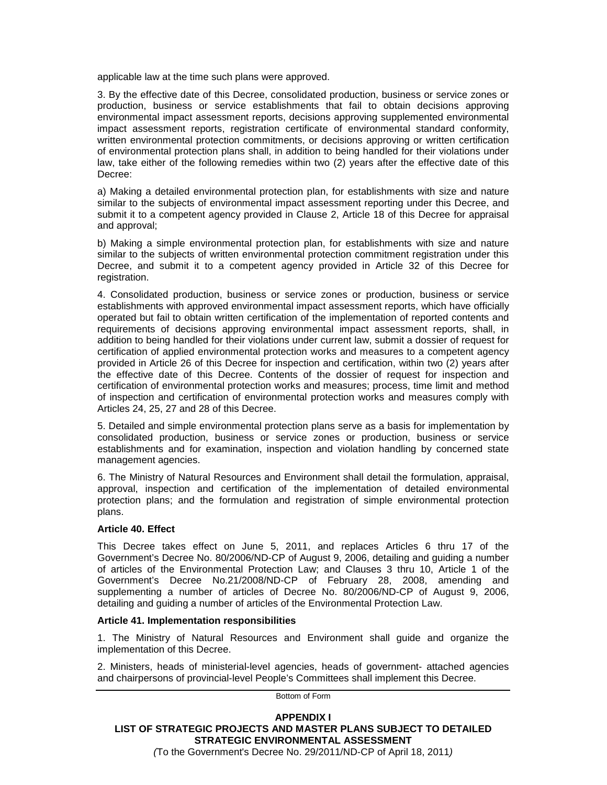applicable law at the time such plans were approved.

3. By the effective date of this Decree, consolidated production, business or service zones or production, business or service establishments that fail to obtain decisions approving environmental impact assessment reports, decisions approving supplemented environmental impact assessment reports, registration certificate of environmental standard conformity, written environmental protection commitments, or decisions approving or written certification of environmental protection plans shall, in addition to being handled for their violations under law, take either of the following remedies within two (2) years after the effective date of this Decree:

a) Making a detailed environmental protection plan, for establishments with size and nature similar to the subjects of environmental impact assessment reporting under this Decree, and submit it to a competent agency provided in Clause 2, Article 18 of this Decree for appraisal and approval;

b) Making a simple environmental protection plan, for establishments with size and nature similar to the subjects of written environmental protection commitment registration under this Decree, and submit it to a competent agency provided in Article 32 of this Decree for registration.

4. Consolidated production, business or service zones or production, business or service establishments with approved environmental impact assessment reports, which have officially operated but fail to obtain written certification of the implementation of reported contents and requirements of decisions approving environmental impact assessment reports, shall, in addition to being handled for their violations under current law, submit a dossier of request for certification of applied environmental protection works and measures to a competent agency provided in Article 26 of this Decree for inspection and certification, within two (2) years after the effective date of this Decree. Contents of the dossier of request for inspection and certification of environmental protection works and measures; process, time limit and method of inspection and certification of environmental protection works and measures comply with Articles 24, 25, 27 and 28 of this Decree.

5. Detailed and simple environmental protection plans serve as a basis for implementation by consolidated production, business or service zones or production, business or service establishments and for examination, inspection and violation handling by concerned state management agencies.

6. The Ministry of Natural Resources and Environment shall detail the formulation, appraisal, approval, inspection and certification of the implementation of detailed environmental protection plans; and the formulation and registration of simple environmental protection plans.

# **Article 40. Effect**

This Decree takes effect on June 5, 2011, and replaces Articles 6 thru 17 of the Government's Decree No. 80/2006/ND-CP of August 9, 2006, detailing and guiding a number of articles of the Environmental Protection Law; and Clauses 3 thru 10, Article 1 of the Government's Decree No.21/2008/ND-CP of February 28, 2008, amending and supplementing a number of articles of Decree No. 80/2006/ND-CP of August 9, 2006, detailing and guiding a number of articles of the Environmental Protection Law.

# **Article 41. Implementation responsibilities**

1. The Ministry of Natural Resources and Environment shall guide and organize the implementation of this Decree.

2. Ministers, heads of ministerial-level agencies, heads of government- attached agencies and chairpersons of provincial-level People's Committees shall implement this Decree.

Bottom of Form

**APPENDIX I LIST OF STRATEGIC PROJECTS AND MASTER PLANS SUBJECT TO DETAILED STRATEGIC ENVIRONMENTAL ASSESSMENT** 

(To the Government's Decree No. 29/2011/ND-CP of April 18, 2011)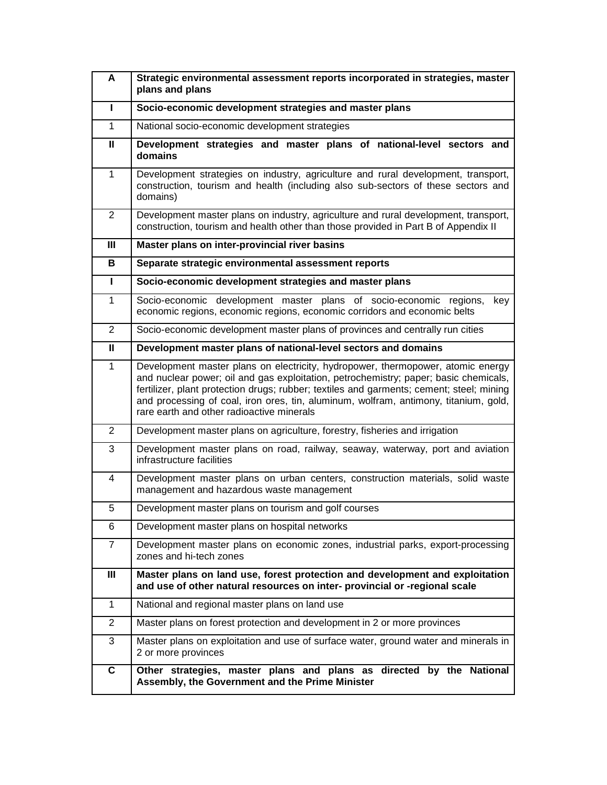| A              | Strategic environmental assessment reports incorporated in strategies, master<br>plans and plans                                                                                                                                                                                                                                                                                                         |  |
|----------------|----------------------------------------------------------------------------------------------------------------------------------------------------------------------------------------------------------------------------------------------------------------------------------------------------------------------------------------------------------------------------------------------------------|--|
| L              | Socio-economic development strategies and master plans                                                                                                                                                                                                                                                                                                                                                   |  |
| $\mathbf{1}$   | National socio-economic development strategies                                                                                                                                                                                                                                                                                                                                                           |  |
| $\mathbf{I}$   | Development strategies and master plans of national-level sectors and<br>domains                                                                                                                                                                                                                                                                                                                         |  |
| $\mathbf{1}$   | Development strategies on industry, agriculture and rural development, transport,<br>construction, tourism and health (including also sub-sectors of these sectors and<br>domains)                                                                                                                                                                                                                       |  |
| 2              | Development master plans on industry, agriculture and rural development, transport,<br>construction, tourism and health other than those provided in Part B of Appendix II                                                                                                                                                                                                                               |  |
| $\mathbf{III}$ | Master plans on inter-provincial river basins                                                                                                                                                                                                                                                                                                                                                            |  |
| В              | Separate strategic environmental assessment reports                                                                                                                                                                                                                                                                                                                                                      |  |
| L              | Socio-economic development strategies and master plans                                                                                                                                                                                                                                                                                                                                                   |  |
| $\mathbf{1}$   | Socio-economic development master plans of socio-economic regions,<br>key<br>economic regions, economic regions, economic corridors and economic belts                                                                                                                                                                                                                                                   |  |
| $\overline{2}$ | Socio-economic development master plans of provinces and centrally run cities                                                                                                                                                                                                                                                                                                                            |  |
| $\mathbf{II}$  | Development master plans of national-level sectors and domains                                                                                                                                                                                                                                                                                                                                           |  |
| $\mathbf{1}$   | Development master plans on electricity, hydropower, thermopower, atomic energy<br>and nuclear power; oil and gas exploitation, petrochemistry; paper; basic chemicals,<br>fertilizer, plant protection drugs; rubber; textiles and garments; cement; steel; mining<br>and processing of coal, iron ores, tin, aluminum, wolfram, antimony, titanium, gold,<br>rare earth and other radioactive minerals |  |
| $\overline{2}$ | Development master plans on agriculture, forestry, fisheries and irrigation                                                                                                                                                                                                                                                                                                                              |  |
| 3              | Development master plans on road, railway, seaway, waterway, port and aviation<br>infrastructure facilities                                                                                                                                                                                                                                                                                              |  |
| 4              | Development master plans on urban centers, construction materials, solid waste<br>management and hazardous waste management                                                                                                                                                                                                                                                                              |  |
| 5              | Development master plans on tourism and golf courses                                                                                                                                                                                                                                                                                                                                                     |  |
| 6              | Development master plans on hospital networks                                                                                                                                                                                                                                                                                                                                                            |  |
| $\overline{7}$ | Development master plans on economic zones, industrial parks, export-processing<br>zones and hi-tech zones                                                                                                                                                                                                                                                                                               |  |
| III            | Master plans on land use, forest protection and development and exploitation<br>and use of other natural resources on inter- provincial or -regional scale                                                                                                                                                                                                                                               |  |
| $\mathbf{1}$   | National and regional master plans on land use                                                                                                                                                                                                                                                                                                                                                           |  |
| $\overline{2}$ | Master plans on forest protection and development in 2 or more provinces                                                                                                                                                                                                                                                                                                                                 |  |
| 3              | Master plans on exploitation and use of surface water, ground water and minerals in<br>2 or more provinces                                                                                                                                                                                                                                                                                               |  |
| C              | Other strategies, master plans and plans as directed by the National<br>Assembly, the Government and the Prime Minister                                                                                                                                                                                                                                                                                  |  |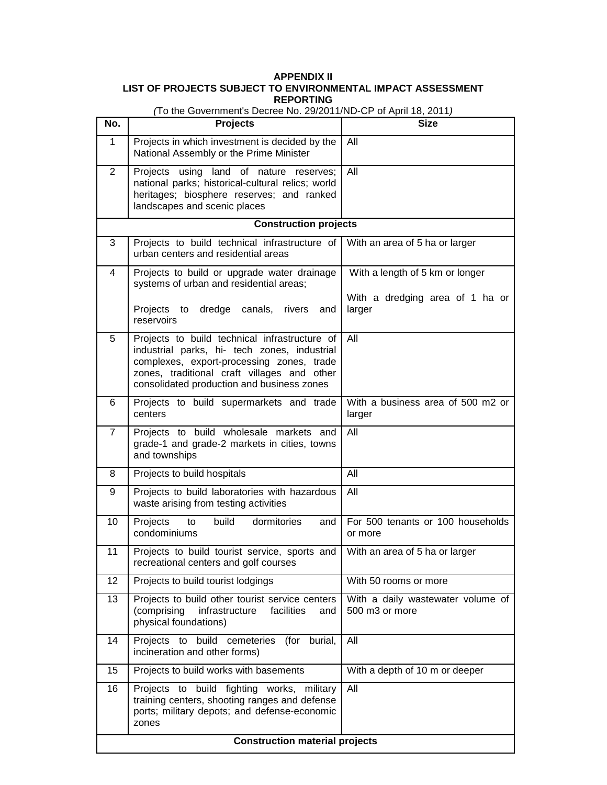# **APPENDIX II LIST OF PROJECTS SUBJECT TO ENVIRONMENTAL IMPACT ASSESSMENT REPORTING** (To the Government's Decree No. 29/2011/ND-CP of April 18, 2011)

| No.                                   | <b>Projects</b>                                                                                                                                                                                                                         | <b>Size</b>                                         |
|---------------------------------------|-----------------------------------------------------------------------------------------------------------------------------------------------------------------------------------------------------------------------------------------|-----------------------------------------------------|
| $\mathbf 1$                           | Projects in which investment is decided by the<br>National Assembly or the Prime Minister                                                                                                                                               | All                                                 |
| $\overline{2}$                        | Projects<br>using land of<br>nature reserves;<br>national parks; historical-cultural relics; world<br>heritages; biosphere reserves; and ranked<br>landscapes and scenic places                                                         | All                                                 |
|                                       | <b>Construction projects</b>                                                                                                                                                                                                            |                                                     |
| 3                                     | Projects to build technical infrastructure of<br>urban centers and residential areas                                                                                                                                                    | With an area of 5 ha or larger                      |
| 4                                     | Projects to build or upgrade water drainage<br>systems of urban and residential areas;                                                                                                                                                  | With a length of 5 km or longer                     |
|                                       | Projects to<br>dredge canals, rivers<br>and<br>reservoirs                                                                                                                                                                               | With a dredging area of 1 ha or<br>larger           |
| 5                                     | Projects to build technical infrastructure of<br>industrial parks, hi- tech zones, industrial<br>complexes, export-processing zones, trade<br>zones, traditional craft villages and other<br>consolidated production and business zones | All                                                 |
| 6                                     | Projects to build supermarkets and trade<br>centers                                                                                                                                                                                     | With a business area of 500 m2 or<br>larger         |
| $\overline{7}$                        | Projects to build wholesale markets and<br>grade-1 and grade-2 markets in cities, towns<br>and townships                                                                                                                                | All                                                 |
| 8                                     | Projects to build hospitals                                                                                                                                                                                                             | All                                                 |
| 9                                     | Projects to build laboratories with hazardous<br>waste arising from testing activities                                                                                                                                                  | All                                                 |
| 10                                    | build<br>dormitories<br>Projects<br>to<br>and<br>condominiums                                                                                                                                                                           | For 500 tenants or 100 households<br>or more        |
| 11                                    | Projects to build tourist service, sports and<br>recreational centers and golf courses                                                                                                                                                  | With an area of 5 ha or larger                      |
| 12                                    | Projects to build tourist lodgings                                                                                                                                                                                                      | With 50 rooms or more                               |
| 13                                    | Projects to build other tourist service centers<br>(comprising<br>infrastructure<br>facilities<br>and<br>physical foundations)                                                                                                          | With a daily wastewater volume of<br>500 m3 or more |
| 14                                    | Projects to build cemeteries (for<br>burial,<br>incineration and other forms)                                                                                                                                                           | All                                                 |
| 15                                    | Projects to build works with basements                                                                                                                                                                                                  | With a depth of 10 m or deeper                      |
| 16                                    | Projects to build fighting works, military<br>training centers, shooting ranges and defense<br>ports; military depots; and defense-economic<br>zones                                                                                    | All                                                 |
| <b>Construction material projects</b> |                                                                                                                                                                                                                                         |                                                     |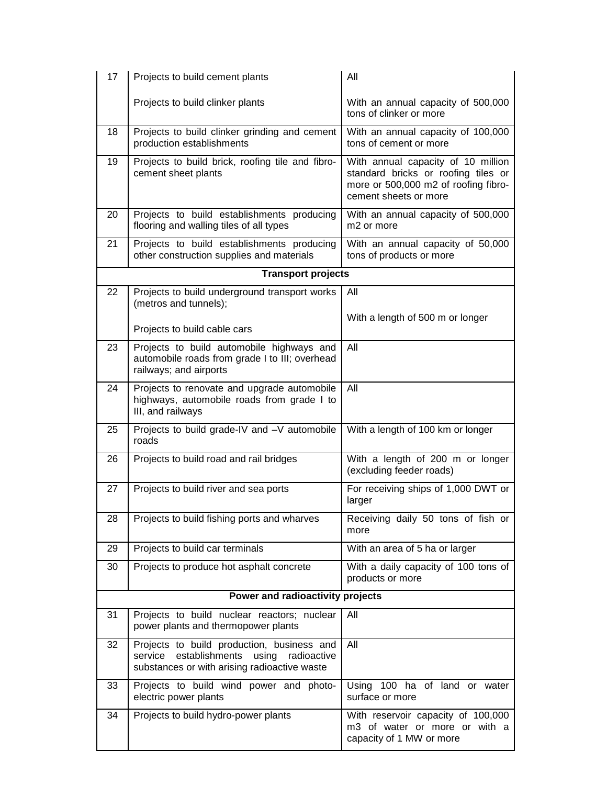| 17 | Projects to build cement plants                                                                                                                 | All                                                                                                                                        |
|----|-------------------------------------------------------------------------------------------------------------------------------------------------|--------------------------------------------------------------------------------------------------------------------------------------------|
|    | Projects to build clinker plants                                                                                                                | With an annual capacity of 500,000<br>tons of clinker or more                                                                              |
| 18 | Projects to build clinker grinding and cement<br>production establishments                                                                      | With an annual capacity of 100,000<br>tons of cement or more                                                                               |
| 19 | Projects to build brick, roofing tile and fibro-<br>cement sheet plants                                                                         | With annual capacity of 10 million<br>standard bricks or roofing tiles or<br>more or 500,000 m2 of roofing fibro-<br>cement sheets or more |
| 20 | Projects to build establishments producing<br>flooring and walling tiles of all types                                                           | With an annual capacity of 500,000<br>m <sub>2</sub> or more                                                                               |
| 21 | Projects to build establishments producing<br>other construction supplies and materials                                                         | With an annual capacity of 50,000<br>tons of products or more                                                                              |
|    | <b>Transport projects</b>                                                                                                                       |                                                                                                                                            |
| 22 | Projects to build underground transport works<br>(metros and tunnels);                                                                          | All                                                                                                                                        |
|    | Projects to build cable cars                                                                                                                    | With a length of 500 m or longer                                                                                                           |
| 23 | Projects to build automobile highways and<br>automobile roads from grade I to III; overhead<br>railways; and airports                           | All                                                                                                                                        |
| 24 | Projects to renovate and upgrade automobile<br>highways, automobile roads from grade I to<br>III, and railways                                  | All                                                                                                                                        |
| 25 | Projects to build grade-IV and -V automobile<br>roads                                                                                           | With a length of 100 km or longer                                                                                                          |
| 26 | Projects to build road and rail bridges                                                                                                         | With a length of 200 m or longer<br>(excluding feeder roads)                                                                               |
| 27 | Projects to build river and sea ports                                                                                                           | For receiving ships of 1,000 DWT or<br>larger                                                                                              |
| 28 | Projects to build fishing ports and wharves                                                                                                     | Receiving daily 50 tons of fish or<br>more                                                                                                 |
| 29 | Projects to build car terminals                                                                                                                 | With an area of 5 ha or larger                                                                                                             |
| 30 | Projects to produce hot asphalt concrete                                                                                                        | With a daily capacity of 100 tons of<br>products or more                                                                                   |
|    | Power and radioactivity projects                                                                                                                |                                                                                                                                            |
| 31 | Projects to build nuclear reactors; nuclear<br>power plants and thermopower plants                                                              | All                                                                                                                                        |
| 32 | Projects to build production, business and<br>establishments<br>using<br>radioactive<br>service<br>substances or with arising radioactive waste | All                                                                                                                                        |
| 33 | Projects to build wind power and photo-<br>electric power plants                                                                                | Using 100 ha of land or water<br>surface or more                                                                                           |
| 34 | Projects to build hydro-power plants                                                                                                            | With reservoir capacity of 100,000<br>m3 of water or more or with a<br>capacity of 1 MW or more                                            |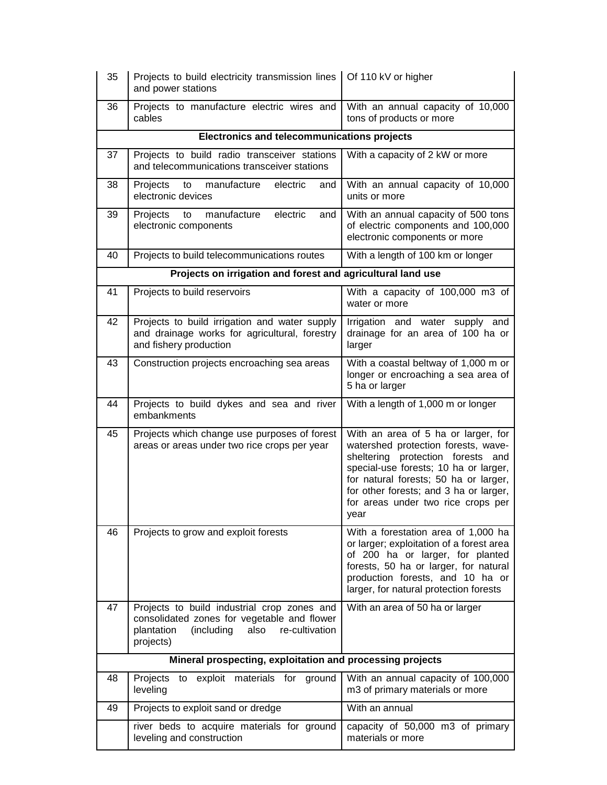| 35 | Projects to build electricity transmission lines   Of 110 kV or higher<br>and power stations                                                                  |                                                                                                                                                                                                                                                                                           |
|----|---------------------------------------------------------------------------------------------------------------------------------------------------------------|-------------------------------------------------------------------------------------------------------------------------------------------------------------------------------------------------------------------------------------------------------------------------------------------|
| 36 | Projects to manufacture electric wires and<br>cables                                                                                                          | With an annual capacity of 10,000<br>tons of products or more                                                                                                                                                                                                                             |
|    | Electronics and telecommunications projects                                                                                                                   |                                                                                                                                                                                                                                                                                           |
| 37 | Projects to build radio transceiver stations<br>and telecommunications transceiver stations                                                                   | With a capacity of 2 kW or more                                                                                                                                                                                                                                                           |
| 38 | Projects<br>manufacture<br>electric<br>to<br>and<br>electronic devices                                                                                        | With an annual capacity of 10,000<br>units or more                                                                                                                                                                                                                                        |
| 39 | Projects<br>manufacture<br>electric<br>to<br>and<br>electronic components                                                                                     | With an annual capacity of 500 tons<br>of electric components and 100,000<br>electronic components or more                                                                                                                                                                                |
| 40 | Projects to build telecommunications routes                                                                                                                   | With a length of 100 km or longer                                                                                                                                                                                                                                                         |
|    | Projects on irrigation and forest and agricultural land use                                                                                                   |                                                                                                                                                                                                                                                                                           |
| 41 | Projects to build reservoirs                                                                                                                                  | With a capacity of 100,000 m3 of<br>water or more                                                                                                                                                                                                                                         |
| 42 | Projects to build irrigation and water supply<br>and drainage works for agricultural, forestry<br>and fishery production                                      | Irrigation and water supply and<br>drainage for an area of 100 ha or<br>larger                                                                                                                                                                                                            |
| 43 | Construction projects encroaching sea areas                                                                                                                   | With a coastal beltway of 1,000 m or<br>longer or encroaching a sea area of<br>5 ha or larger                                                                                                                                                                                             |
| 44 | Projects to build dykes and sea and river<br>embankments                                                                                                      | With a length of 1,000 m or longer                                                                                                                                                                                                                                                        |
| 45 | Projects which change use purposes of forest<br>areas or areas under two rice crops per year                                                                  | With an area of 5 ha or larger, for<br>watershed protection forests, wave-<br>sheltering protection forests and<br>special-use forests; 10 ha or larger,<br>for natural forests; 50 ha or larger,<br>for other forests; and 3 ha or larger,<br>for areas under two rice crops per<br>year |
| 46 | Projects to grow and exploit forests                                                                                                                          | With a forestation area of 1,000 ha<br>or larger; exploitation of a forest area<br>of 200 ha or larger, for planted<br>forests, 50 ha or larger, for natural<br>production forests, and 10 ha or<br>larger, for natural protection forests                                                |
| 47 | Projects to build industrial crop zones and<br>consolidated zones for vegetable and flower<br>re-cultivation<br>plantation<br>(including<br>also<br>projects) | With an area of 50 ha or larger                                                                                                                                                                                                                                                           |
|    | Mineral prospecting, exploitation and processing projects                                                                                                     |                                                                                                                                                                                                                                                                                           |
| 48 | Projects<br>to<br>exploit<br>materials for<br>ground<br>leveling                                                                                              | With an annual capacity of 100,000<br>m3 of primary materials or more                                                                                                                                                                                                                     |
| 49 | Projects to exploit sand or dredge                                                                                                                            | With an annual                                                                                                                                                                                                                                                                            |
|    | river beds to acquire materials for ground<br>leveling and construction                                                                                       | capacity of 50,000 m3 of primary<br>materials or more                                                                                                                                                                                                                                     |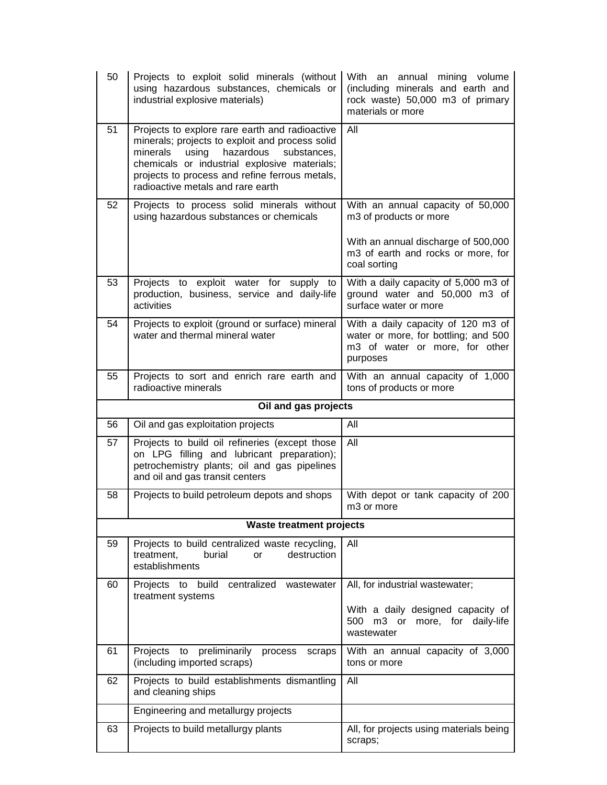| 50 | Projects to exploit solid minerals (without<br>using hazardous substances, chemicals or<br>industrial explosive materials)                                                                                                                                                                | With an annual mining volume<br>(including minerals and earth and<br>rock waste) 50,000 m3 of primary<br>materials or more                               |
|----|-------------------------------------------------------------------------------------------------------------------------------------------------------------------------------------------------------------------------------------------------------------------------------------------|----------------------------------------------------------------------------------------------------------------------------------------------------------|
| 51 | Projects to explore rare earth and radioactive<br>minerals; projects to exploit and process solid<br>using<br>hazardous<br>substances,<br>minerals<br>chemicals or industrial explosive materials;<br>projects to process and refine ferrous metals,<br>radioactive metals and rare earth | All                                                                                                                                                      |
| 52 | Projects to process solid minerals without<br>using hazardous substances or chemicals                                                                                                                                                                                                     | With an annual capacity of 50,000<br>m3 of products or more<br>With an annual discharge of 500,000<br>m3 of earth and rocks or more, for<br>coal sorting |
| 53 | Projects to exploit water for supply to<br>production, business, service and daily-life<br>activities                                                                                                                                                                                     | With a daily capacity of 5,000 m3 of<br>ground water and 50,000 m3 of<br>surface water or more                                                           |
| 54 | Projects to exploit (ground or surface) mineral<br>water and thermal mineral water                                                                                                                                                                                                        | With a daily capacity of 120 m3 of<br>water or more, for bottling; and 500<br>m3 of water or more, for other<br>purposes                                 |
| 55 | Projects to sort and enrich rare earth and<br>radioactive minerals                                                                                                                                                                                                                        | With an annual capacity of 1,000<br>tons of products or more                                                                                             |
|    | Oil and gas projects                                                                                                                                                                                                                                                                      |                                                                                                                                                          |
| 56 | Oil and gas exploitation projects                                                                                                                                                                                                                                                         | All                                                                                                                                                      |
| 57 | Projects to build oil refineries (except those<br>on LPG filling and lubricant preparation);<br>petrochemistry plants; oil and gas pipelines<br>and oil and gas transit centers                                                                                                           | All                                                                                                                                                      |
| 58 | Projects to build petroleum depots and shops                                                                                                                                                                                                                                              | With depot or tank capacity of 200<br>m <sub>3</sub> or more                                                                                             |
|    | <b>Waste treatment projects</b>                                                                                                                                                                                                                                                           |                                                                                                                                                          |
| 59 | Projects to build centralized waste recycling,<br>destruction<br>treatment.<br>burial<br>or<br>establishments                                                                                                                                                                             | All                                                                                                                                                      |
| 60 | build<br>centralized<br>Projects to<br>wastewater<br>treatment systems                                                                                                                                                                                                                    | All, for industrial wastewater;<br>With a daily designed capacity of<br>500 m3 or more, for daily-life<br>wastewater                                     |
| 61 | Projects<br>to<br>preliminarily<br>process<br>scraps<br>(including imported scraps)                                                                                                                                                                                                       | With an annual capacity of 3,000<br>tons or more                                                                                                         |
| 62 | Projects to build establishments dismantling<br>and cleaning ships                                                                                                                                                                                                                        | All                                                                                                                                                      |
|    | Engineering and metallurgy projects                                                                                                                                                                                                                                                       |                                                                                                                                                          |
| 63 | Projects to build metallurgy plants                                                                                                                                                                                                                                                       | All, for projects using materials being<br>scraps;                                                                                                       |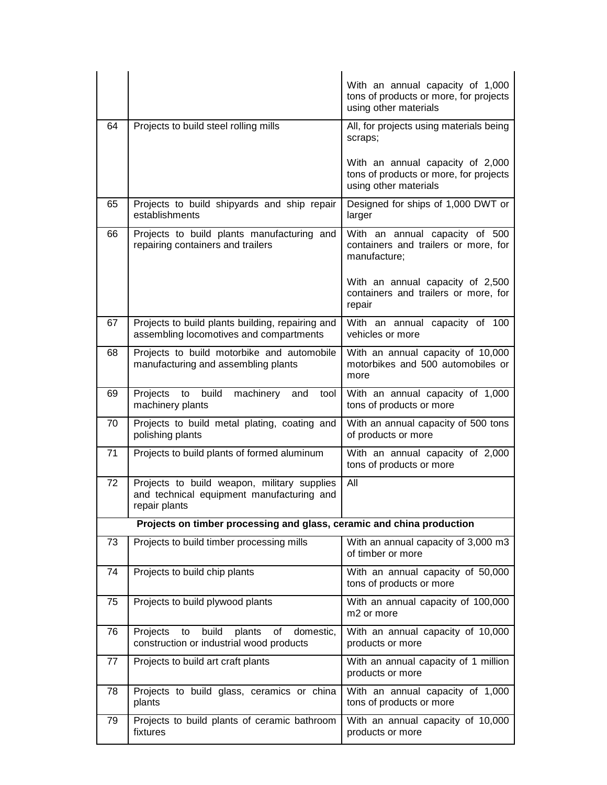|    |                                                                                                           | With an annual capacity of 1,000<br>tons of products or more, for projects<br>using other materials |
|----|-----------------------------------------------------------------------------------------------------------|-----------------------------------------------------------------------------------------------------|
| 64 | Projects to build steel rolling mills                                                                     | All, for projects using materials being<br>scraps;                                                  |
|    |                                                                                                           | With an annual capacity of 2,000<br>tons of products or more, for projects<br>using other materials |
| 65 | Projects to build shipyards and ship repair<br>establishments                                             | Designed for ships of 1,000 DWT or<br>larger                                                        |
| 66 | Projects to build plants manufacturing and<br>repairing containers and trailers                           | With an annual capacity of 500<br>containers and trailers or more, for<br>manufacture;              |
|    |                                                                                                           | With an annual capacity of 2,500<br>containers and trailers or more, for<br>repair                  |
| 67 | Projects to build plants building, repairing and<br>assembling locomotives and compartments               | With an annual capacity of 100<br>vehicles or more                                                  |
| 68 | Projects to build motorbike and automobile<br>manufacturing and assembling plants                         | With an annual capacity of 10,000<br>motorbikes and 500 automobiles or<br>more                      |
| 69 | build<br>Projects to<br>machinery<br>and<br>tool<br>machinery plants                                      | With an annual capacity of 1,000<br>tons of products or more                                        |
| 70 | Projects to build metal plating, coating and<br>polishing plants                                          | With an annual capacity of 500 tons<br>of products or more                                          |
| 71 | Projects to build plants of formed aluminum                                                               | With an annual capacity of 2,000<br>tons of products or more                                        |
| 72 | Projects to build weapon, military supplies<br>and technical equipment manufacturing and<br>repair plants | All                                                                                                 |
|    | Projects on timber processing and glass, ceramic and china production                                     |                                                                                                     |
| 73 | Projects to build timber processing mills                                                                 | With an annual capacity of 3,000 m3<br>of timber or more                                            |
| 74 | Projects to build chip plants                                                                             | With an annual capacity of 50,000<br>tons of products or more                                       |
| 75 | Projects to build plywood plants                                                                          | With an annual capacity of 100,000<br>m <sub>2</sub> or more                                        |
| 76 | build<br>Projects<br>domestic,<br>to<br>plants<br>of<br>construction or industrial wood products          | With an annual capacity of 10,000<br>products or more                                               |
| 77 | Projects to build art craft plants                                                                        | With an annual capacity of 1 million<br>products or more                                            |
| 78 | Projects to build glass, ceramics or china<br>plants                                                      | With an annual capacity of $1,000$<br>tons of products or more                                      |
| 79 | Projects to build plants of ceramic bathroom<br>fixtures                                                  | With an annual capacity of 10,000<br>products or more                                               |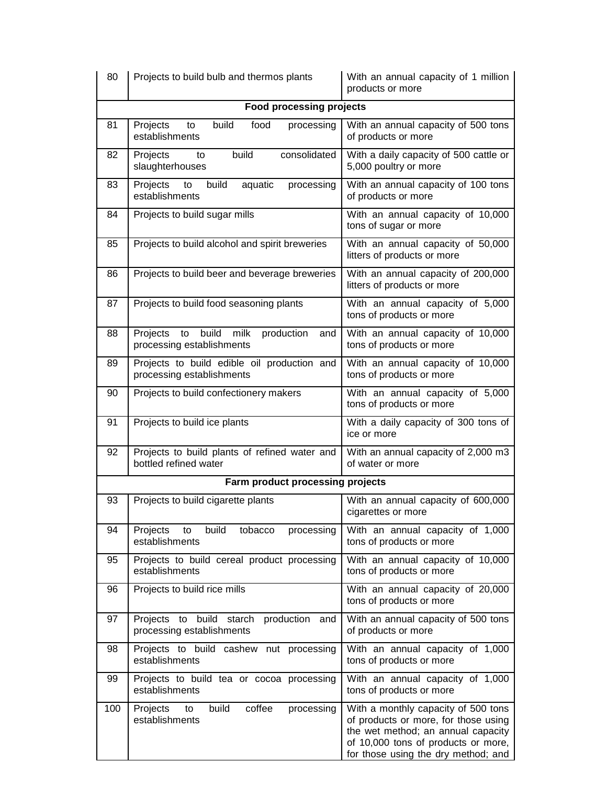| 80  | Projects to build bulb and thermos plants                                         | With an annual capacity of 1 million<br>products or more                                                                                                                                        |
|-----|-----------------------------------------------------------------------------------|-------------------------------------------------------------------------------------------------------------------------------------------------------------------------------------------------|
|     | <b>Food processing projects</b>                                                   |                                                                                                                                                                                                 |
| 81  | Projects<br>build<br>food<br>to<br>processing<br>establishments                   | With an annual capacity of 500 tons<br>of products or more                                                                                                                                      |
| 82  | build<br>consolidated<br>Projects<br>to<br>slaughterhouses                        | With a daily capacity of 500 cattle or<br>5,000 poultry or more                                                                                                                                 |
| 83  | build<br>aquatic<br>Projects<br>to<br>processing<br>establishments                | With an annual capacity of 100 tons<br>of products or more                                                                                                                                      |
| 84  | Projects to build sugar mills                                                     | With an annual capacity of 10,000<br>tons of sugar or more                                                                                                                                      |
| 85  | Projects to build alcohol and spirit breweries                                    | With an annual capacity of 50,000<br>litters of products or more                                                                                                                                |
| 86  | Projects to build beer and beverage breweries                                     | With an annual capacity of 200,000<br>litters of products or more                                                                                                                               |
| 87  | Projects to build food seasoning plants                                           | With an annual capacity of 5,000<br>tons of products or more                                                                                                                                    |
| 88  | build<br>Projects<br>milk<br>to<br>production<br>and<br>processing establishments | With an annual capacity of 10,000<br>tons of products or more                                                                                                                                   |
| 89  | Projects to build edible oil production and<br>processing establishments          | With an annual capacity of 10,000<br>tons of products or more                                                                                                                                   |
| 90  | Projects to build confectionery makers                                            | With an annual capacity of 5,000<br>tons of products or more                                                                                                                                    |
| 91  | Projects to build ice plants                                                      | With a daily capacity of 300 tons of<br>ice or more                                                                                                                                             |
| 92  | Projects to build plants of refined water and<br>bottled refined water            | With an annual capacity of 2,000 m3<br>of water or more                                                                                                                                         |
|     | Farm product processing projects                                                  |                                                                                                                                                                                                 |
| 93  | Projects to build cigarette plants                                                | With an annual capacity of 600,000<br>cigarettes or more                                                                                                                                        |
| 94  | build<br>Projects<br>to<br>tobacco<br>processing<br>establishments                | With an annual capacity of 1,000<br>tons of products or more                                                                                                                                    |
| 95  | Projects to build cereal product processing<br>establishments                     | With an annual capacity of 10,000<br>tons of products or more                                                                                                                                   |
| 96  | Projects to build rice mills                                                      | With an annual capacity of 20,000<br>tons of products or more                                                                                                                                   |
| 97  | Projects to build starch production and<br>processing establishments              | With an annual capacity of 500 tons<br>of products or more                                                                                                                                      |
| 98  | Projects to build cashew nut processing<br>establishments                         | With an annual capacity of 1,000<br>tons of products or more                                                                                                                                    |
| 99  | Projects to build tea or cocoa processing<br>establishments                       | With an annual capacity of 1,000<br>tons of products or more                                                                                                                                    |
| 100 | build<br>coffee<br>Projects<br>to<br>processing<br>establishments                 | With a monthly capacity of 500 tons<br>of products or more, for those using<br>the wet method; an annual capacity<br>of 10,000 tons of products or more,<br>for those using the dry method; and |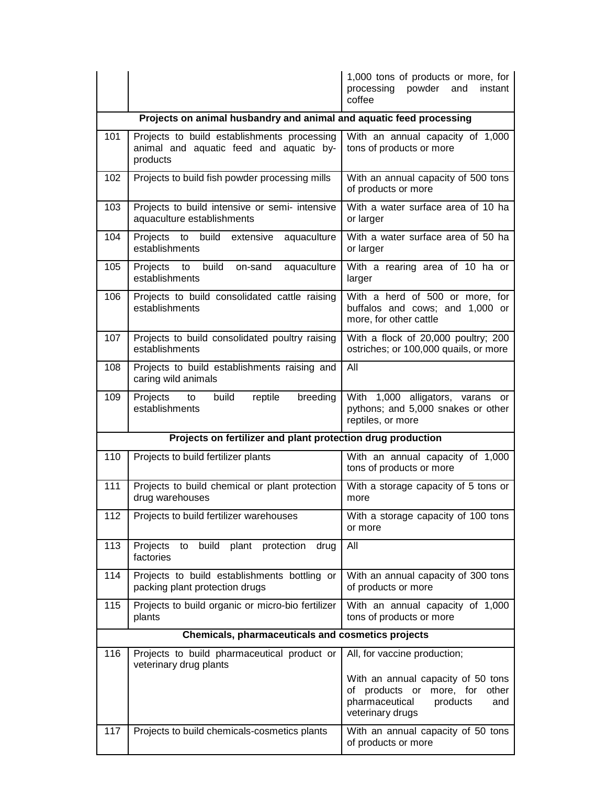|                                                   |                                                                                                    | 1,000 tons of products or more, for<br>processing powder and<br>instant<br>coffee                                                |
|---------------------------------------------------|----------------------------------------------------------------------------------------------------|----------------------------------------------------------------------------------------------------------------------------------|
|                                                   | Projects on animal husbandry and animal and aquatic feed processing                                |                                                                                                                                  |
| 101                                               | Projects to build establishments processing<br>animal and aquatic feed and aquatic by-<br>products | With an annual capacity of 1,000<br>tons of products or more                                                                     |
| 102                                               | Projects to build fish powder processing mills                                                     | With an annual capacity of 500 tons<br>of products or more                                                                       |
| 103                                               | Projects to build intensive or semi- intensive<br>aquaculture establishments                       | With a water surface area of 10 ha<br>or larger                                                                                  |
| 104                                               | Projects to build extensive<br>aquaculture<br>establishments                                       | With a water surface area of 50 ha<br>or larger                                                                                  |
| 105                                               | Projects to build<br>on-sand<br>aquaculture<br>establishments                                      | With a rearing area of 10 ha or<br>larger                                                                                        |
| 106                                               | Projects to build consolidated cattle raising<br>establishments                                    | With a herd of 500 or more, for<br>buffalos and cows; and 1,000 or<br>more, for other cattle                                     |
| 107                                               | Projects to build consolidated poultry raising<br>establishments                                   | With a flock of 20,000 poultry; 200<br>ostriches; or 100,000 quails, or more                                                     |
| 108                                               | Projects to build establishments raising and<br>caring wild animals                                | All                                                                                                                              |
| 109                                               | build<br>breeding<br>Projects<br>to<br>reptile<br>establishments                                   | With 1,000 alligators, varans or<br>pythons; and 5,000 snakes or other<br>reptiles, or more                                      |
|                                                   | Projects on fertilizer and plant protection drug production                                        |                                                                                                                                  |
| 110                                               | Projects to build fertilizer plants                                                                | With an annual capacity of 1,000<br>tons of products or more                                                                     |
| 111                                               | Projects to build chemical or plant protection<br>drug warehouses                                  | With a storage capacity of 5 tons or<br>more                                                                                     |
| 112                                               | Projects to build fertilizer warehouses                                                            | With a storage capacity of 100 tons<br>or more                                                                                   |
| 113                                               | build plant protection<br>Projects<br>to<br>drug<br>factories                                      | All                                                                                                                              |
| 114                                               | Projects to build establishments bottling or<br>packing plant protection drugs                     | With an annual capacity of 300 tons<br>of products or more                                                                       |
| 115                                               | Projects to build organic or micro-bio fertilizer<br>plants                                        | With an annual capacity of 1,000<br>tons of products or more                                                                     |
| Chemicals, pharmaceuticals and cosmetics projects |                                                                                                    |                                                                                                                                  |
| 116                                               | Projects to build pharmaceutical product or<br>veterinary drug plants                              | All, for vaccine production;                                                                                                     |
|                                                   |                                                                                                    | With an annual capacity of 50 tons<br>of products or more, for<br>other<br>pharmaceutical<br>products<br>and<br>veterinary drugs |
| 117                                               | Projects to build chemicals-cosmetics plants                                                       | With an annual capacity of 50 tons<br>of products or more                                                                        |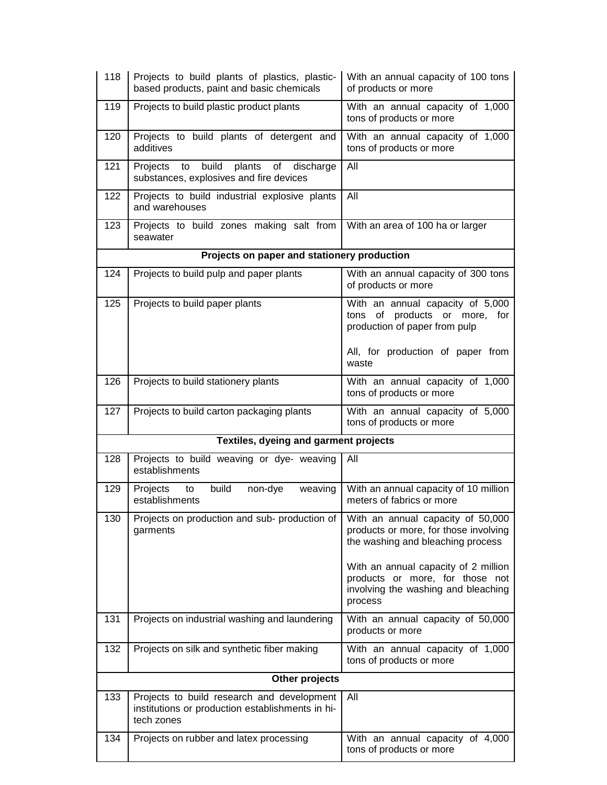| 118                                   | Projects to build plants of plastics, plastic-<br>based products, paint and basic chemicals                  | With an annual capacity of 100 tons<br>of products or more                                                                |
|---------------------------------------|--------------------------------------------------------------------------------------------------------------|---------------------------------------------------------------------------------------------------------------------------|
| 119                                   | Projects to build plastic product plants                                                                     | With an annual capacity of 1,000<br>tons of products or more                                                              |
| 120                                   | Projects to build plants of detergent and<br>additives                                                       | With an annual capacity of 1,000<br>tons of products or more                                                              |
| 121                                   | build<br>plants<br>Projects<br>of<br>discharge<br>to<br>substances, explosives and fire devices              | All                                                                                                                       |
| 122                                   | Projects to build industrial explosive plants<br>and warehouses                                              | All                                                                                                                       |
| 123                                   | Projects to build zones making salt from<br>seawater                                                         | With an area of 100 ha or larger                                                                                          |
|                                       | Projects on paper and stationery production                                                                  |                                                                                                                           |
| 124                                   | Projects to build pulp and paper plants                                                                      | With an annual capacity of 300 tons<br>of products or more                                                                |
| 125                                   | Projects to build paper plants                                                                               | With an annual capacity of 5,000<br>tons of products or more, for<br>production of paper from pulp                        |
|                                       |                                                                                                              | All, for production of paper from<br>waste                                                                                |
| 126                                   | Projects to build stationery plants                                                                          | With an annual capacity of 1,000<br>tons of products or more                                                              |
| 127                                   | Projects to build carton packaging plants                                                                    | With an annual capacity of 5,000<br>tons of products or more                                                              |
| Textiles, dyeing and garment projects |                                                                                                              |                                                                                                                           |
| 128                                   | Projects to build weaving or dye- weaving<br>establishments                                                  | All                                                                                                                       |
| 129                                   | Projects<br>build<br>non-dye<br>to<br>weaving<br>establishments                                              | With an annual capacity of 10 million<br>meters of fabrics or more                                                        |
| 130                                   | Projects on production and sub- production of<br>garments                                                    | With an annual capacity of 50,000<br>products or more, for those involving<br>the washing and bleaching process           |
|                                       |                                                                                                              | With an annual capacity of 2 million<br>products or more, for those not<br>involving the washing and bleaching<br>process |
| 131                                   | Projects on industrial washing and laundering                                                                | With an annual capacity of 50,000<br>products or more                                                                     |
| 132                                   | Projects on silk and synthetic fiber making                                                                  | With an annual capacity of 1,000<br>tons of products or more                                                              |
|                                       | Other projects                                                                                               |                                                                                                                           |
| 133                                   | Projects to build research and development<br>institutions or production establishments in hi-<br>tech zones | All                                                                                                                       |
| 134                                   | Projects on rubber and latex processing                                                                      | With an annual capacity of 4,000<br>tons of products or more                                                              |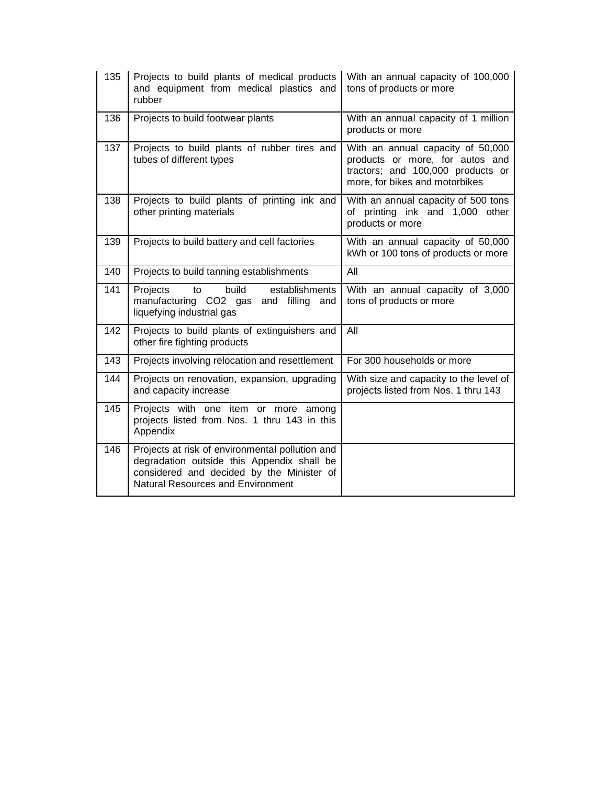| 135 | Projects to build plants of medical products<br>and equipment from medical plastics and<br>rubber                                                                                      | With an annual capacity of 100,000<br>tons of products or more                                                                              |
|-----|----------------------------------------------------------------------------------------------------------------------------------------------------------------------------------------|---------------------------------------------------------------------------------------------------------------------------------------------|
| 136 | Projects to build footwear plants                                                                                                                                                      | With an annual capacity of 1 million<br>products or more                                                                                    |
| 137 | Projects to build plants of rubber tires and<br>tubes of different types                                                                                                               | With an annual capacity of 50,000<br>products or more, for autos and<br>tractors; and 100,000 products or<br>more, for bikes and motorbikes |
| 138 | Projects to build plants of printing ink and<br>other printing materials                                                                                                               | With an annual capacity of 500 tons<br>of printing ink and 1,000 other<br>products or more                                                  |
| 139 | Projects to build battery and cell factories                                                                                                                                           | With an annual capacity of 50,000<br>kWh or 100 tons of products or more                                                                    |
| 140 | Projects to build tanning establishments                                                                                                                                               | All                                                                                                                                         |
| 141 | build<br>Projects<br>establishments<br>to<br>manufacturing CO2 gas<br>and filling and<br>liquefying industrial gas                                                                     | With an annual capacity of 3,000<br>tons of products or more                                                                                |
| 142 | Projects to build plants of extinguishers and<br>other fire fighting products                                                                                                          | All                                                                                                                                         |
| 143 | Projects involving relocation and resettlement                                                                                                                                         | For 300 households or more                                                                                                                  |
| 144 | Projects on renovation, expansion, upgrading<br>and capacity increase                                                                                                                  | With size and capacity to the level of<br>projects listed from Nos. 1 thru 143                                                              |
| 145 | Projects with one item or more among<br>projects listed from Nos. 1 thru 143 in this<br>Appendix                                                                                       |                                                                                                                                             |
| 146 | Projects at risk of environmental pollution and<br>degradation outside this Appendix shall be<br>considered and decided by the Minister of<br><b>Natural Resources and Environment</b> |                                                                                                                                             |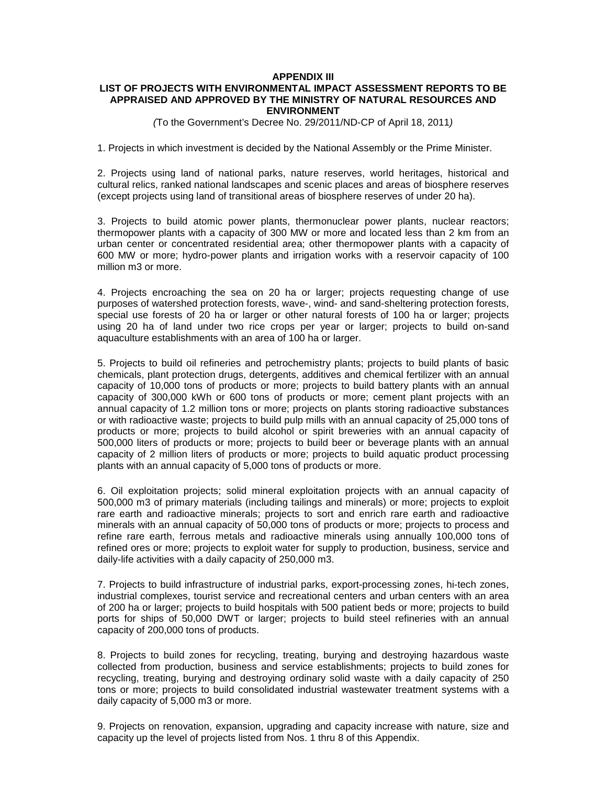### **APPENDIX III**

### **LIST OF PROJECTS WITH ENVIRONMENTAL IMPACT ASSESSMENT REPORTS TO BE APPRAISED AND APPROVED BY THE MINISTRY OF NATURAL RESOURCES AND ENVIRONMENT**

(To the Government's Decree No. 29/2011/ND-CP of April 18, 2011)

1. Projects in which investment is decided by the National Assembly or the Prime Minister.

2. Projects using land of national parks, nature reserves, world heritages, historical and cultural relics, ranked national landscapes and scenic places and areas of biosphere reserves (except projects using land of transitional areas of biosphere reserves of under 20 ha).

3. Projects to build atomic power plants, thermonuclear power plants, nuclear reactors; thermopower plants with a capacity of 300 MW or more and located less than 2 km from an urban center or concentrated residential area; other thermopower plants with a capacity of 600 MW or more; hydro-power plants and irrigation works with a reservoir capacity of 100 million m3 or more.

4. Projects encroaching the sea on 20 ha or larger; projects requesting change of use purposes of watershed protection forests, wave-, wind- and sand-sheltering protection forests, special use forests of 20 ha or larger or other natural forests of 100 ha or larger; projects using 20 ha of land under two rice crops per year or larger; projects to build on-sand aquaculture establishments with an area of 100 ha or larger.

5. Projects to build oil refineries and petrochemistry plants; projects to build plants of basic chemicals, plant protection drugs, detergents, additives and chemical fertilizer with an annual capacity of 10,000 tons of products or more; projects to build battery plants with an annual capacity of 300,000 kWh or 600 tons of products or more; cement plant projects with an annual capacity of 1.2 million tons or more; projects on plants storing radioactive substances or with radioactive waste; projects to build pulp mills with an annual capacity of 25,000 tons of products or more; projects to build alcohol or spirit breweries with an annual capacity of 500,000 liters of products or more; projects to build beer or beverage plants with an annual capacity of 2 million liters of products or more; projects to build aquatic product processing plants with an annual capacity of 5,000 tons of products or more.

6. Oil exploitation projects; solid mineral exploitation projects with an annual capacity of 500,000 m3 of primary materials (including tailings and minerals) or more; projects to exploit rare earth and radioactive minerals; projects to sort and enrich rare earth and radioactive minerals with an annual capacity of 50,000 tons of products or more; projects to process and refine rare earth, ferrous metals and radioactive minerals using annually 100,000 tons of refined ores or more; projects to exploit water for supply to production, business, service and daily-life activities with a daily capacity of 250,000 m3.

7. Projects to build infrastructure of industrial parks, export-processing zones, hi-tech zones, industrial complexes, tourist service and recreational centers and urban centers with an area of 200 ha or larger; projects to build hospitals with 500 patient beds or more; projects to build ports for ships of 50,000 DWT or larger; projects to build steel refineries with an annual capacity of 200,000 tons of products.

8. Projects to build zones for recycling, treating, burying and destroying hazardous waste collected from production, business and service establishments; projects to build zones for recycling, treating, burying and destroying ordinary solid waste with a daily capacity of 250 tons or more; projects to build consolidated industrial wastewater treatment systems with a daily capacity of 5,000 m3 or more.

9. Projects on renovation, expansion, upgrading and capacity increase with nature, size and capacity up the level of projects listed from Nos. 1 thru 8 of this Appendix.